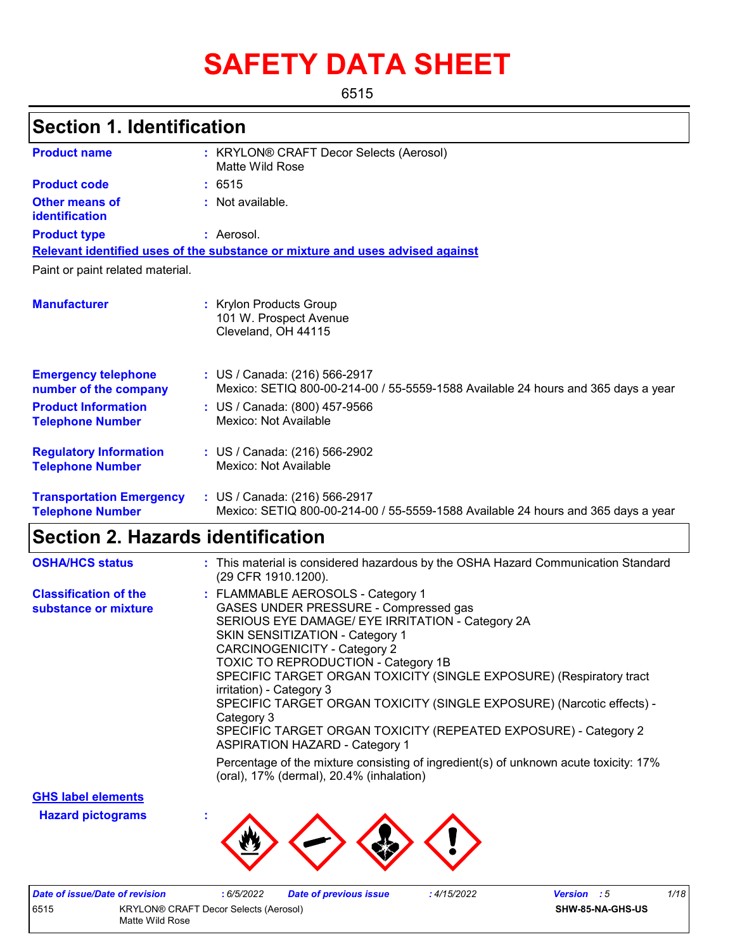# **SAFETY DATA SHEET**

6515

### **Section 1. Identification**

| <b>Product name</b>                                        | : KRYLON® CRAFT Decor Selects (Aerosol)<br>Matte Wild Rose                                                         |
|------------------------------------------------------------|--------------------------------------------------------------------------------------------------------------------|
| <b>Product code</b>                                        | : 6515                                                                                                             |
| Other means of<br>identification                           | : Not available.                                                                                                   |
| <b>Product type</b>                                        | : Aerosol.                                                                                                         |
|                                                            | Relevant identified uses of the substance or mixture and uses advised against                                      |
| Paint or paint related material.                           |                                                                                                                    |
| <b>Manufacturer</b>                                        | : Krylon Products Group<br>101 W. Prospect Avenue<br>Cleveland, OH 44115                                           |
| <b>Emergency telephone</b><br>number of the company        | : US / Canada: (216) 566-2917<br>Mexico: SETIQ 800-00-214-00 / 55-5559-1588 Available 24 hours and 365 days a year |
| <b>Product Information</b><br><b>Telephone Number</b>      | : US / Canada: (800) 457-9566<br>Mexico: Not Available                                                             |
| <b>Regulatory Information</b><br><b>Telephone Number</b>   | : US / Canada: (216) 566-2902<br>Mexico: Not Available                                                             |
| <b>Transportation Emergency</b><br><b>Telephone Number</b> | : US / Canada: (216) 566-2917<br>Mexico: SETIQ 800-00-214-00 / 55-5559-1588 Available 24 hours and 365 days a year |

### **Section 2. Hazards identification**

| <b>OSHA/HCS status</b>                               | : This material is considered hazardous by the OSHA Hazard Communication Standard<br>(29 CFR 1910.1200).                                                                                                                                                                                                                                                                                                                                                                                                                                                     |
|------------------------------------------------------|--------------------------------------------------------------------------------------------------------------------------------------------------------------------------------------------------------------------------------------------------------------------------------------------------------------------------------------------------------------------------------------------------------------------------------------------------------------------------------------------------------------------------------------------------------------|
| <b>Classification of the</b><br>substance or mixture | : FLAMMABLE AEROSOLS - Category 1<br>GASES UNDER PRESSURE - Compressed gas<br>SERIOUS EYE DAMAGE/ EYE IRRITATION - Category 2A<br>SKIN SENSITIZATION - Category 1<br><b>CARCINOGENICITY - Category 2</b><br><b>TOXIC TO REPRODUCTION - Category 1B</b><br>SPECIFIC TARGET ORGAN TOXICITY (SINGLE EXPOSURE) (Respiratory tract<br>irritation) - Category 3<br>SPECIFIC TARGET ORGAN TOXICITY (SINGLE EXPOSURE) (Narcotic effects) -<br>Category 3<br>SPECIFIC TARGET ORGAN TOXICITY (REPEATED EXPOSURE) - Category 2<br><b>ASPIRATION HAZARD - Category 1</b> |
|                                                      | Percentage of the mixture consisting of ingredient(s) of unknown acute toxicity: 17%<br>(oral), 17% (dermal), 20.4% (inhalation)                                                                                                                                                                                                                                                                                                                                                                                                                             |

**GHS label elements**

**Hazard pictograms :**



| Date of issue/Date of revision                |  | 6/5/2022 | <b>Date of previous issue</b> | 4/15/2022 | <b>Version</b> : 5 | 1/18 |
|-----------------------------------------------|--|----------|-------------------------------|-----------|--------------------|------|
| 6515<br>KRYLON® CRAFT Decor Selects (Aerosol) |  |          |                               |           | SHW-85-NA-GHS-US   |      |
| Matte Wild Rose                               |  |          |                               |           |                    |      |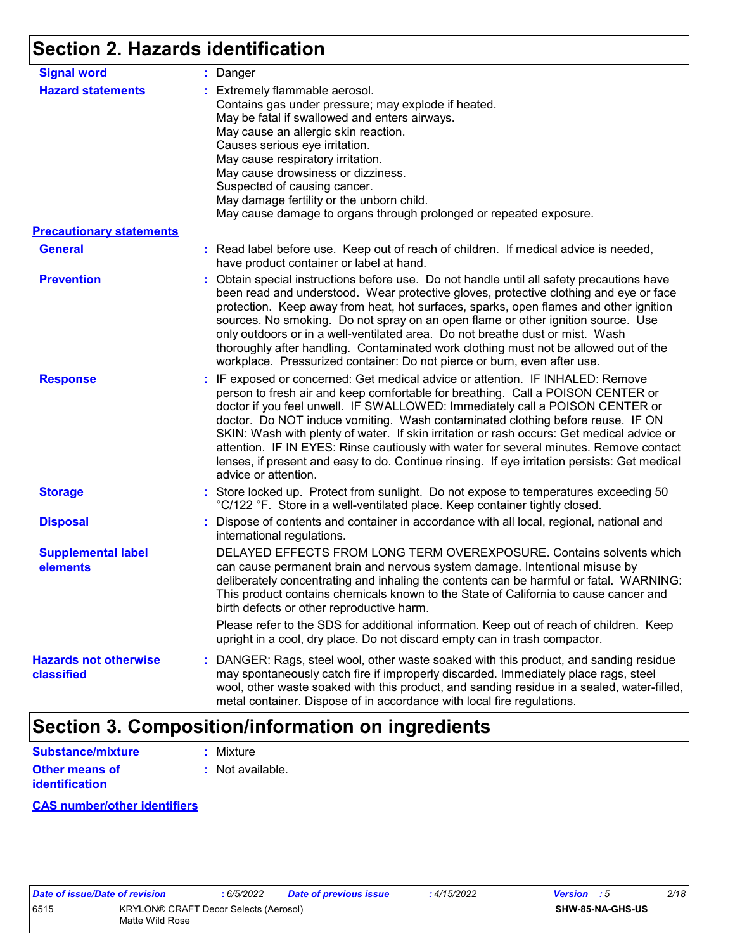### **Section 2. Hazards identification**

| <b>Signal word</b>                         | : Danger                                                                                                                                                                                                                                                                                                                                                                                                                                                                                                                                                                                                                                           |
|--------------------------------------------|----------------------------------------------------------------------------------------------------------------------------------------------------------------------------------------------------------------------------------------------------------------------------------------------------------------------------------------------------------------------------------------------------------------------------------------------------------------------------------------------------------------------------------------------------------------------------------------------------------------------------------------------------|
| <b>Hazard statements</b>                   | : Extremely flammable aerosol.<br>Contains gas under pressure; may explode if heated.<br>May be fatal if swallowed and enters airways.<br>May cause an allergic skin reaction.<br>Causes serious eye irritation.<br>May cause respiratory irritation.<br>May cause drowsiness or dizziness.<br>Suspected of causing cancer.<br>May damage fertility or the unborn child.<br>May cause damage to organs through prolonged or repeated exposure.                                                                                                                                                                                                     |
| <b>Precautionary statements</b>            |                                                                                                                                                                                                                                                                                                                                                                                                                                                                                                                                                                                                                                                    |
| <b>General</b>                             | : Read label before use. Keep out of reach of children. If medical advice is needed,<br>have product container or label at hand.                                                                                                                                                                                                                                                                                                                                                                                                                                                                                                                   |
| <b>Prevention</b>                          | : Obtain special instructions before use. Do not handle until all safety precautions have<br>been read and understood. Wear protective gloves, protective clothing and eye or face<br>protection. Keep away from heat, hot surfaces, sparks, open flames and other ignition<br>sources. No smoking. Do not spray on an open flame or other ignition source. Use<br>only outdoors or in a well-ventilated area. Do not breathe dust or mist. Wash<br>thoroughly after handling. Contaminated work clothing must not be allowed out of the<br>workplace. Pressurized container: Do not pierce or burn, even after use.                               |
| <b>Response</b>                            | : IF exposed or concerned: Get medical advice or attention. IF INHALED: Remove<br>person to fresh air and keep comfortable for breathing. Call a POISON CENTER or<br>doctor if you feel unwell. IF SWALLOWED: Immediately call a POISON CENTER or<br>doctor. Do NOT induce vomiting. Wash contaminated clothing before reuse. IF ON<br>SKIN: Wash with plenty of water. If skin irritation or rash occurs: Get medical advice or<br>attention. IF IN EYES: Rinse cautiously with water for several minutes. Remove contact<br>lenses, if present and easy to do. Continue rinsing. If eye irritation persists: Get medical<br>advice or attention. |
| <b>Storage</b>                             | : Store locked up. Protect from sunlight. Do not expose to temperatures exceeding 50<br>°C/122 °F. Store in a well-ventilated place. Keep container tightly closed.                                                                                                                                                                                                                                                                                                                                                                                                                                                                                |
| <b>Disposal</b>                            | : Dispose of contents and container in accordance with all local, regional, national and<br>international regulations.                                                                                                                                                                                                                                                                                                                                                                                                                                                                                                                             |
| <b>Supplemental label</b><br>elements      | DELAYED EFFECTS FROM LONG TERM OVEREXPOSURE. Contains solvents which<br>can cause permanent brain and nervous system damage. Intentional misuse by<br>deliberately concentrating and inhaling the contents can be harmful or fatal. WARNING:<br>This product contains chemicals known to the State of California to cause cancer and<br>birth defects or other reproductive harm.                                                                                                                                                                                                                                                                  |
|                                            | Please refer to the SDS for additional information. Keep out of reach of children. Keep<br>upright in a cool, dry place. Do not discard empty can in trash compactor.                                                                                                                                                                                                                                                                                                                                                                                                                                                                              |
| <b>Hazards not otherwise</b><br>classified | : DANGER: Rags, steel wool, other waste soaked with this product, and sanding residue<br>may spontaneously catch fire if improperly discarded. Immediately place rags, steel<br>wool, other waste soaked with this product, and sanding residue in a sealed, water-filled,<br>metal container. Dispose of in accordance with local fire regulations.                                                                                                                                                                                                                                                                                               |

### **Section 3. Composition/information on ingredients**

| <b>Substance/mixture</b>                | : Mixture          |
|-----------------------------------------|--------------------|
| Other means of<br><b>identification</b> | $:$ Not available. |

#### **CAS number/other identifiers**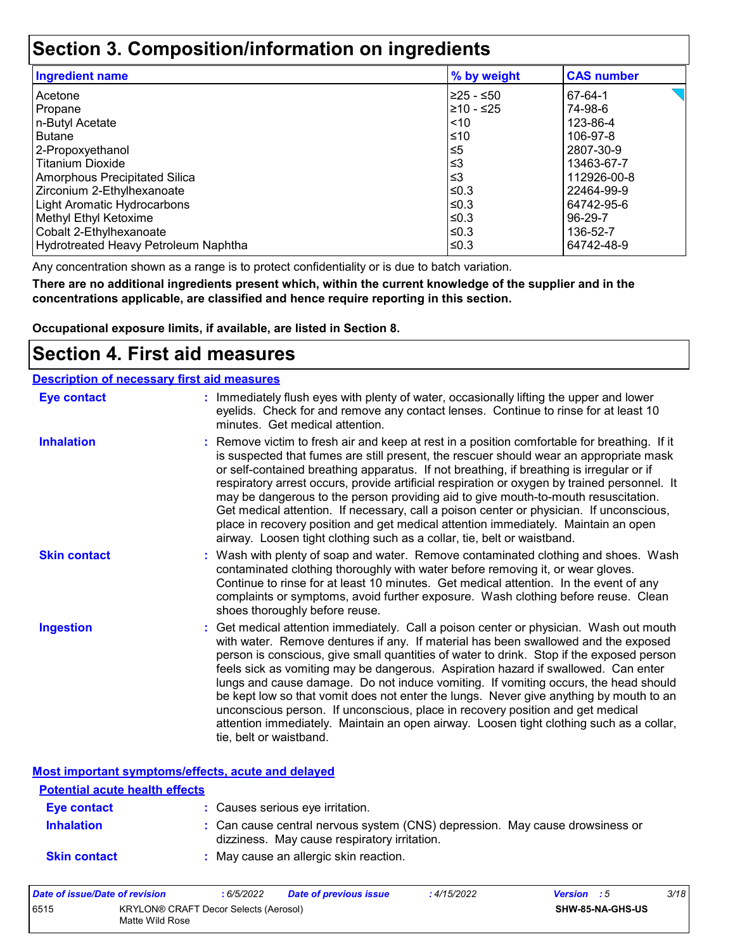### **Section 3. Composition/information on ingredients**

| <b>Ingredient name</b>               | % by weight | <b>CAS number</b> |
|--------------------------------------|-------------|-------------------|
| Acetone                              | I≥25 - ≤50  | 67-64-1           |
| Propane                              | 210 - ≤25   | 74-98-6           |
| n-Butyl Acetate                      | $\leq 10$   | 123-86-4          |
| <b>Butane</b>                        | $\leq 10$   | 106-97-8          |
| 2-Propoxyethanol                     | l≤5         | 2807-30-9         |
| <b>Titanium Dioxide</b>              | ∣≤3         | 13463-67-7        |
| Amorphous Precipitated Silica        | l≤3         | 112926-00-8       |
| Zirconium 2-Ethylhexanoate           | l≤0.3       | 22464-99-9        |
| Light Aromatic Hydrocarbons          | $\leq$ 0.3  | 64742-95-6        |
| Methyl Ethyl Ketoxime                | l≤0.3       | 96-29-7           |
| Cobalt 2-Ethylhexanoate              | $\leq$ 0.3  | 136-52-7          |
| Hydrotreated Heavy Petroleum Naphtha | l≤0.3       | 64742-48-9        |

Any concentration shown as a range is to protect confidentiality or is due to batch variation.

**There are no additional ingredients present which, within the current knowledge of the supplier and in the concentrations applicable, are classified and hence require reporting in this section.**

**Occupational exposure limits, if available, are listed in Section 8.**

### **Section 4. First aid measures**

| <b>Description of necessary first aid measures</b> |                                                                                                                                                                                                                                                                                                                                                                                                                                                                                                                                                                                                                                                                                                                                                         |
|----------------------------------------------------|---------------------------------------------------------------------------------------------------------------------------------------------------------------------------------------------------------------------------------------------------------------------------------------------------------------------------------------------------------------------------------------------------------------------------------------------------------------------------------------------------------------------------------------------------------------------------------------------------------------------------------------------------------------------------------------------------------------------------------------------------------|
| <b>Eye contact</b>                                 | : Immediately flush eyes with plenty of water, occasionally lifting the upper and lower<br>eyelids. Check for and remove any contact lenses. Continue to rinse for at least 10<br>minutes. Get medical attention.                                                                                                                                                                                                                                                                                                                                                                                                                                                                                                                                       |
| <b>Inhalation</b>                                  | : Remove victim to fresh air and keep at rest in a position comfortable for breathing. If it<br>is suspected that fumes are still present, the rescuer should wear an appropriate mask<br>or self-contained breathing apparatus. If not breathing, if breathing is irregular or if<br>respiratory arrest occurs, provide artificial respiration or oxygen by trained personnel. It<br>may be dangerous to the person providing aid to give mouth-to-mouth resuscitation.<br>Get medical attention. If necessary, call a poison center or physician. If unconscious,<br>place in recovery position and get medical attention immediately. Maintain an open<br>airway. Loosen tight clothing such as a collar, tie, belt or waistband.                    |
| <b>Skin contact</b>                                | : Wash with plenty of soap and water. Remove contaminated clothing and shoes. Wash<br>contaminated clothing thoroughly with water before removing it, or wear gloves.<br>Continue to rinse for at least 10 minutes. Get medical attention. In the event of any<br>complaints or symptoms, avoid further exposure. Wash clothing before reuse. Clean<br>shoes thoroughly before reuse.                                                                                                                                                                                                                                                                                                                                                                   |
| <b>Ingestion</b>                                   | : Get medical attention immediately. Call a poison center or physician. Wash out mouth<br>with water. Remove dentures if any. If material has been swallowed and the exposed<br>person is conscious, give small quantities of water to drink. Stop if the exposed person<br>feels sick as vomiting may be dangerous. Aspiration hazard if swallowed. Can enter<br>lungs and cause damage. Do not induce vomiting. If vomiting occurs, the head should<br>be kept low so that vomit does not enter the lungs. Never give anything by mouth to an<br>unconscious person. If unconscious, place in recovery position and get medical<br>attention immediately. Maintain an open airway. Loosen tight clothing such as a collar,<br>tie, belt or waistband. |

**Most important symptoms/effects, acute and delayed**

| <b>Potential acute health effects</b> |                                                                                                                              |
|---------------------------------------|------------------------------------------------------------------------------------------------------------------------------|
| Eye contact                           | : Causes serious eye irritation.                                                                                             |
| <b>Inhalation</b>                     | : Can cause central nervous system (CNS) depression. May cause drowsiness or<br>dizziness. May cause respiratory irritation. |
| <b>Skin contact</b>                   | : May cause an allergic skin reaction.                                                                                       |

| Date of issue/Date of revision |                                                          | 6/5/2022 | <b>Date of previous issue</b> | : 4/15/2022 | <b>Version</b> : 5 |                         | 3/18 |
|--------------------------------|----------------------------------------------------------|----------|-------------------------------|-------------|--------------------|-------------------------|------|
| 6515                           | KRYLON® CRAFT Decor Selects (Aerosol)<br>Matte Wild Rose |          |                               |             |                    | <b>SHW-85-NA-GHS-US</b> |      |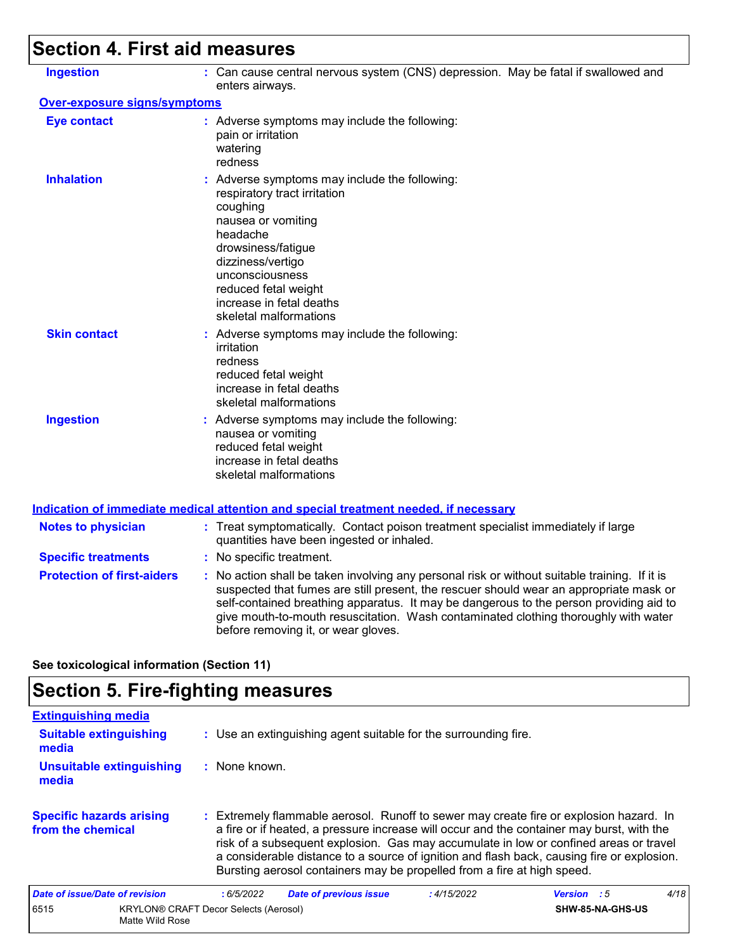## **Section 4. First aid measures**

| <b>Ingestion</b>                    | : Can cause central nervous system (CNS) depression. May be fatal if swallowed and<br>enters airways.                                                                                                                                                                                                                                                                                                           |
|-------------------------------------|-----------------------------------------------------------------------------------------------------------------------------------------------------------------------------------------------------------------------------------------------------------------------------------------------------------------------------------------------------------------------------------------------------------------|
| <b>Over-exposure signs/symptoms</b> |                                                                                                                                                                                                                                                                                                                                                                                                                 |
| <b>Eye contact</b>                  | : Adverse symptoms may include the following:<br>pain or irritation<br>watering<br>redness                                                                                                                                                                                                                                                                                                                      |
| <b>Inhalation</b>                   | : Adverse symptoms may include the following:<br>respiratory tract irritation<br>coughing<br>nausea or vomiting<br>headache<br>drowsiness/fatigue<br>dizziness/vertigo<br>unconsciousness<br>reduced fetal weight<br>increase in fetal deaths<br>skeletal malformations                                                                                                                                         |
| <b>Skin contact</b>                 | : Adverse symptoms may include the following:<br>irritation<br>redness<br>reduced fetal weight<br>increase in fetal deaths<br>skeletal malformations                                                                                                                                                                                                                                                            |
| <b>Ingestion</b>                    | : Adverse symptoms may include the following:<br>nausea or vomiting<br>reduced fetal weight<br>increase in fetal deaths<br>skeletal malformations                                                                                                                                                                                                                                                               |
|                                     | <b>Indication of immediate medical attention and special treatment needed, if necessary</b>                                                                                                                                                                                                                                                                                                                     |
| <b>Notes to physician</b>           | : Treat symptomatically. Contact poison treatment specialist immediately if large<br>quantities have been ingested or inhaled.                                                                                                                                                                                                                                                                                  |
| <b>Specific treatments</b>          | : No specific treatment.                                                                                                                                                                                                                                                                                                                                                                                        |
| <b>Protection of first-aiders</b>   | : No action shall be taken involving any personal risk or without suitable training. If it is<br>suspected that fumes are still present, the rescuer should wear an appropriate mask or<br>self-contained breathing apparatus. It may be dangerous to the person providing aid to<br>give mouth-to-mouth resuscitation. Wash contaminated clothing thoroughly with water<br>before removing it, or wear gloves. |

**See toxicological information (Section 11)**

### **Section 5. Fire-fighting measures**

| <b>Extinguishing media</b>                           |                                                                                                                                                                                                                                                                                                                                                                                                                                                       |                    |      |
|------------------------------------------------------|-------------------------------------------------------------------------------------------------------------------------------------------------------------------------------------------------------------------------------------------------------------------------------------------------------------------------------------------------------------------------------------------------------------------------------------------------------|--------------------|------|
| <b>Suitable extinguishing</b><br>media               | : Use an extinguishing agent suitable for the surrounding fire.                                                                                                                                                                                                                                                                                                                                                                                       |                    |      |
| <b>Unsuitable extinguishing</b><br>media             | : None known.                                                                                                                                                                                                                                                                                                                                                                                                                                         |                    |      |
| <b>Specific hazards arising</b><br>from the chemical | : Extremely flammable aerosol. Runoff to sewer may create fire or explosion hazard. In<br>a fire or if heated, a pressure increase will occur and the container may burst, with the<br>risk of a subsequent explosion. Gas may accumulate in low or confined areas or travel<br>a considerable distance to a source of ignition and flash back, causing fire or explosion.<br>Bursting aerosol containers may be propelled from a fire at high speed. |                    |      |
| Date of issue/Date of revision                       | :6/5/2022<br><b>Date of previous issue</b><br>:4/15/2022                                                                                                                                                                                                                                                                                                                                                                                              | <b>Version</b> : 5 | 4/18 |
| 6515<br>Matte Wild Rose                              | <b>KRYLON® CRAFT Decor Selects (Aerosol)</b>                                                                                                                                                                                                                                                                                                                                                                                                          | SHW-85-NA-GHS-US   |      |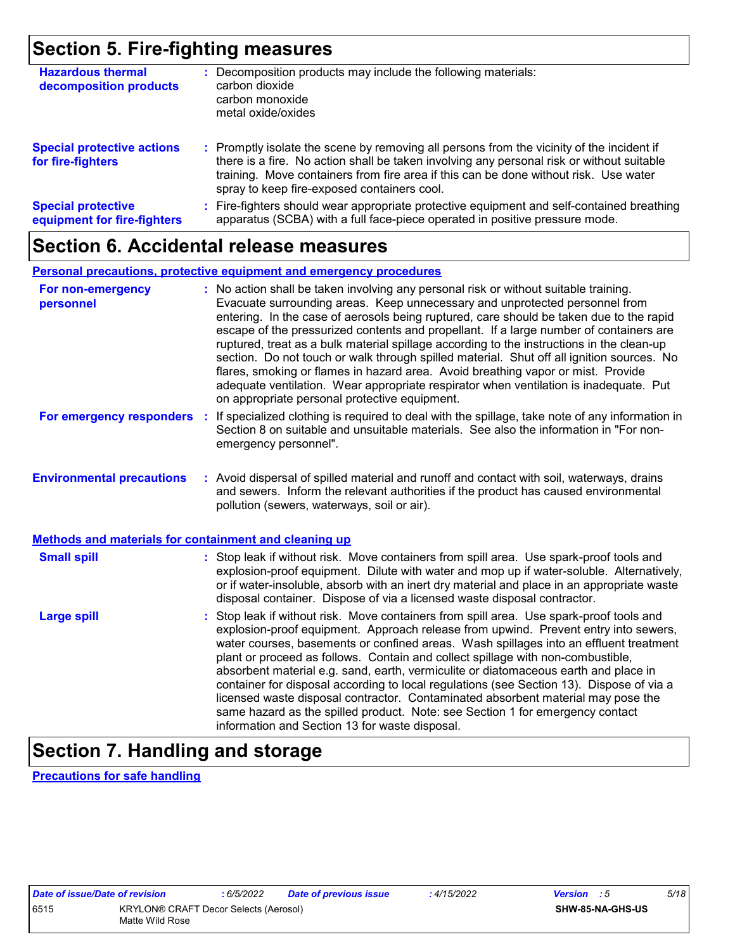### **Section 5. Fire-fighting measures**

| <b>Hazardous thermal</b><br>decomposition products       | Decomposition products may include the following materials:<br>carbon dioxide<br>carbon monoxide<br>metal oxide/oxides                                                                                                                                                                                                        |
|----------------------------------------------------------|-------------------------------------------------------------------------------------------------------------------------------------------------------------------------------------------------------------------------------------------------------------------------------------------------------------------------------|
| <b>Special protective actions</b><br>for fire-fighters   | : Promptly isolate the scene by removing all persons from the vicinity of the incident if<br>there is a fire. No action shall be taken involving any personal risk or without suitable<br>training. Move containers from fire area if this can be done without risk. Use water<br>spray to keep fire-exposed containers cool. |
| <b>Special protective</b><br>equipment for fire-fighters | Fire-fighters should wear appropriate protective equipment and self-contained breathing<br>apparatus (SCBA) with a full face-piece operated in positive pressure mode.                                                                                                                                                        |

### **Section 6. Accidental release measures**

#### **Personal precautions, protective equipment and emergency procedures**

| For non-emergency<br>personnel                        | : No action shall be taken involving any personal risk or without suitable training.<br>Evacuate surrounding areas. Keep unnecessary and unprotected personnel from<br>entering. In the case of aerosols being ruptured, care should be taken due to the rapid<br>escape of the pressurized contents and propellant. If a large number of containers are<br>ruptured, treat as a bulk material spillage according to the instructions in the clean-up<br>section. Do not touch or walk through spilled material. Shut off all ignition sources. No<br>flares, smoking or flames in hazard area. Avoid breathing vapor or mist. Provide<br>adequate ventilation. Wear appropriate respirator when ventilation is inadequate. Put<br>on appropriate personal protective equipment. |
|-------------------------------------------------------|----------------------------------------------------------------------------------------------------------------------------------------------------------------------------------------------------------------------------------------------------------------------------------------------------------------------------------------------------------------------------------------------------------------------------------------------------------------------------------------------------------------------------------------------------------------------------------------------------------------------------------------------------------------------------------------------------------------------------------------------------------------------------------|
| For emergency responders                              | : If specialized clothing is required to deal with the spillage, take note of any information in<br>Section 8 on suitable and unsuitable materials. See also the information in "For non-<br>emergency personnel".                                                                                                                                                                                                                                                                                                                                                                                                                                                                                                                                                               |
| <b>Environmental precautions</b>                      | : Avoid dispersal of spilled material and runoff and contact with soil, waterways, drains<br>and sewers. Inform the relevant authorities if the product has caused environmental<br>pollution (sewers, waterways, soil or air).                                                                                                                                                                                                                                                                                                                                                                                                                                                                                                                                                  |
| Methods and materials for containment and cleaning up |                                                                                                                                                                                                                                                                                                                                                                                                                                                                                                                                                                                                                                                                                                                                                                                  |
| <b>Small spill</b>                                    | : Stop leak if without risk. Move containers from spill area. Use spark-proof tools and<br>explosion-proof equipment. Dilute with water and mop up if water-soluble. Alternatively,<br>or if water-insoluble, absorb with an inert dry material and place in an appropriate waste<br>disposal container. Dispose of via a licensed waste disposal contractor.                                                                                                                                                                                                                                                                                                                                                                                                                    |
| <b>Large spill</b>                                    | : Stop leak if without risk. Move containers from spill area. Use spark-proof tools and<br>explosion-proof equipment. Approach release from upwind. Prevent entry into sewers,<br>water courses, basements or confined areas. Wash spillages into an effluent treatment<br>plant or proceed as follows. Contain and collect spillage with non-combustible,<br>absorbent material e.g. sand, earth, vermiculite or diatomaceous earth and place in<br>container for disposal according to local regulations (see Section 13). Dispose of via a<br>licensed waste disposal contractor. Contaminated absorbent material may pose the<br>same hazard as the spilled product. Note: see Section 1 for emergency contact<br>information and Section 13 for waste disposal.             |

### **Section 7. Handling and storage**

**Precautions for safe handling**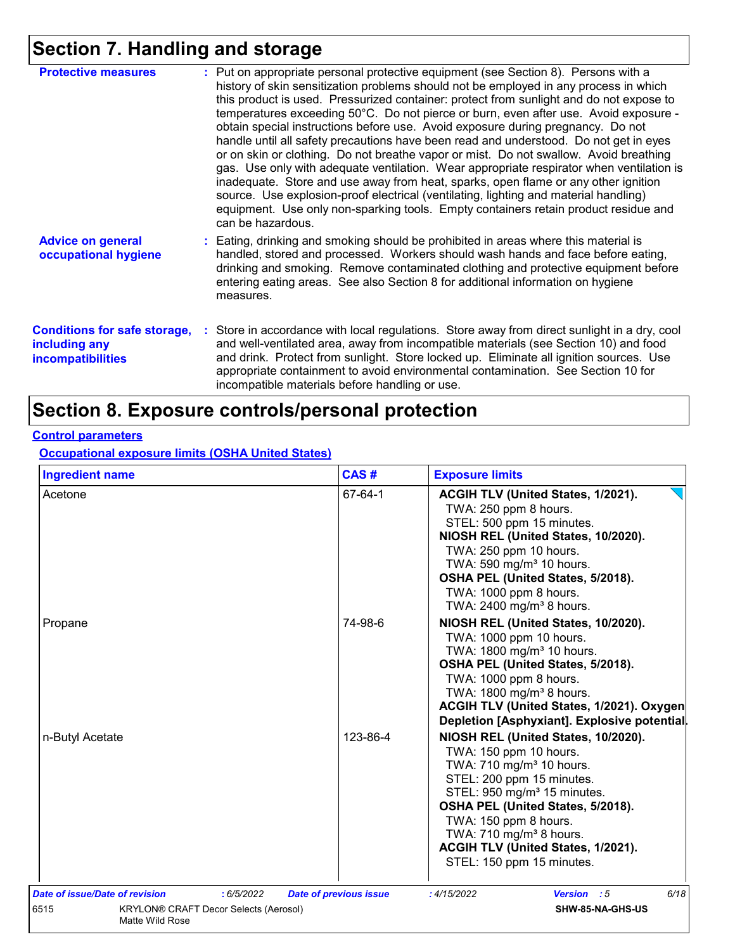## **Section 7. Handling and storage**

| <b>Protective measures</b>                                                       | : Put on appropriate personal protective equipment (see Section 8). Persons with a<br>history of skin sensitization problems should not be employed in any process in which<br>this product is used. Pressurized container: protect from sunlight and do not expose to<br>temperatures exceeding 50°C. Do not pierce or burn, even after use. Avoid exposure -<br>obtain special instructions before use. Avoid exposure during pregnancy. Do not<br>handle until all safety precautions have been read and understood. Do not get in eyes<br>or on skin or clothing. Do not breathe vapor or mist. Do not swallow. Avoid breathing<br>gas. Use only with adequate ventilation. Wear appropriate respirator when ventilation is<br>inadequate. Store and use away from heat, sparks, open flame or any other ignition<br>source. Use explosion-proof electrical (ventilating, lighting and material handling)<br>equipment. Use only non-sparking tools. Empty containers retain product residue and<br>can be hazardous. |
|----------------------------------------------------------------------------------|---------------------------------------------------------------------------------------------------------------------------------------------------------------------------------------------------------------------------------------------------------------------------------------------------------------------------------------------------------------------------------------------------------------------------------------------------------------------------------------------------------------------------------------------------------------------------------------------------------------------------------------------------------------------------------------------------------------------------------------------------------------------------------------------------------------------------------------------------------------------------------------------------------------------------------------------------------------------------------------------------------------------------|
| <b>Advice on general</b><br>occupational hygiene                                 | : Eating, drinking and smoking should be prohibited in areas where this material is<br>handled, stored and processed. Workers should wash hands and face before eating,<br>drinking and smoking. Remove contaminated clothing and protective equipment before<br>entering eating areas. See also Section 8 for additional information on hygiene<br>measures.                                                                                                                                                                                                                                                                                                                                                                                                                                                                                                                                                                                                                                                             |
| <b>Conditions for safe storage,</b><br>including any<br><b>incompatibilities</b> | : Store in accordance with local regulations. Store away from direct sunlight in a dry, cool<br>and well-ventilated area, away from incompatible materials (see Section 10) and food<br>and drink. Protect from sunlight. Store locked up. Eliminate all ignition sources. Use<br>appropriate containment to avoid environmental contamination. See Section 10 for<br>incompatible materials before handling or use.                                                                                                                                                                                                                                                                                                                                                                                                                                                                                                                                                                                                      |

### **Section 8. Exposure controls/personal protection**

#### **Control parameters**

**Occupational exposure limits (OSHA United States)**

| ACGIH TLV (United States, 1/2021).<br>TWA: 250 ppm 8 hours.<br>STEL: 500 ppm 15 minutes.<br>NIOSH REL (United States, 10/2020).<br>TWA: 250 ppm 10 hours.<br>TWA: 590 mg/m <sup>3</sup> 10 hours.                                                                                                                                                     |                                                                                |  |  |
|-------------------------------------------------------------------------------------------------------------------------------------------------------------------------------------------------------------------------------------------------------------------------------------------------------------------------------------------------------|--------------------------------------------------------------------------------|--|--|
| OSHA PEL (United States, 5/2018).<br>TWA: 1000 ppm 8 hours.<br>TWA: 2400 mg/m <sup>3</sup> 8 hours.                                                                                                                                                                                                                                                   |                                                                                |  |  |
| NIOSH REL (United States, 10/2020).<br>TWA: 1000 ppm 10 hours.<br>TWA: 1800 mg/m <sup>3</sup> 10 hours.<br>OSHA PEL (United States, 5/2018).<br>TWA: 1000 ppm 8 hours.<br>TWA: 1800 mg/m <sup>3</sup> 8 hours.<br>ACGIH TLV (United States, 1/2021). Oxygen<br>Depletion [Asphyxiant]. Explosive potential                                            |                                                                                |  |  |
| NIOSH REL (United States, 10/2020).<br>TWA: 150 ppm 10 hours.<br>TWA: 710 mg/m <sup>3</sup> 10 hours.<br>STEL: 200 ppm 15 minutes.<br>STEL: 950 mg/m <sup>3</sup> 15 minutes.<br>OSHA PEL (United States, 5/2018).<br>TWA: 150 ppm 8 hours.<br>TWA: 710 mg/m <sup>3</sup> 8 hours.<br>ACGIH TLV (United States, 1/2021).<br>STEL: 150 ppm 15 minutes. |                                                                                |  |  |
|                                                                                                                                                                                                                                                                                                                                                       | 6/18                                                                           |  |  |
|                                                                                                                                                                                                                                                                                                                                                       | <b>Date of previous issue</b><br>:4/15/2022<br>Version : 5<br>SHW-85-NA-GHS-US |  |  |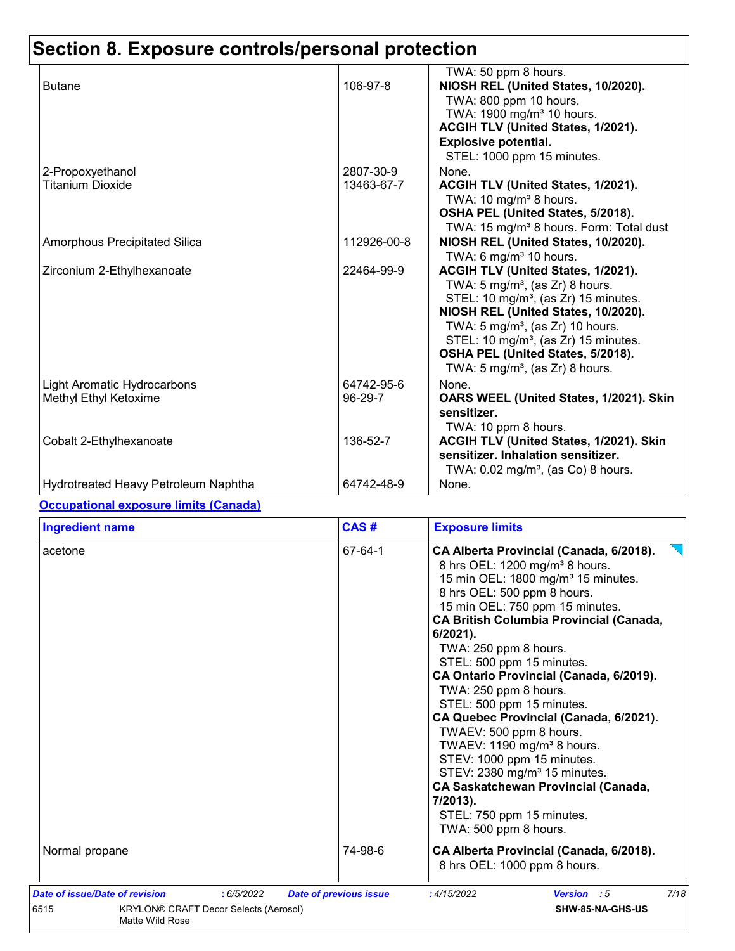|                                      |             | TWA: 50 ppm 8 hours.                                |
|--------------------------------------|-------------|-----------------------------------------------------|
| <b>Butane</b>                        | 106-97-8    | NIOSH REL (United States, 10/2020).                 |
|                                      |             | TWA: 800 ppm 10 hours.                              |
|                                      |             | TWA: 1900 mg/m <sup>3</sup> 10 hours.               |
|                                      |             | ACGIH TLV (United States, 1/2021).                  |
|                                      |             | <b>Explosive potential.</b>                         |
|                                      |             | STEL: 1000 ppm 15 minutes.                          |
| 2-Propoxyethanol                     | 2807-30-9   | None.                                               |
| <b>Titanium Dioxide</b>              | 13463-67-7  | ACGIH TLV (United States, 1/2021).                  |
|                                      |             | TWA: 10 mg/m <sup>3</sup> 8 hours.                  |
|                                      |             | OSHA PEL (United States, 5/2018).                   |
|                                      |             | TWA: 15 mg/m <sup>3</sup> 8 hours. Form: Total dust |
| Amorphous Precipitated Silica        | 112926-00-8 | NIOSH REL (United States, 10/2020).                 |
|                                      |             | TWA: 6 mg/m <sup>3</sup> 10 hours.                  |
| Zirconium 2-Ethylhexanoate           | 22464-99-9  | ACGIH TLV (United States, 1/2021).                  |
|                                      |             | TWA: 5 mg/m <sup>3</sup> , (as Zr) 8 hours.         |
|                                      |             | STEL: 10 mg/m <sup>3</sup> , (as Zr) 15 minutes.    |
|                                      |             | NIOSH REL (United States, 10/2020).                 |
|                                      |             | TWA: $5 \text{ mg/m}^3$ , (as Zr) 10 hours.         |
|                                      |             | STEL: 10 mg/m <sup>3</sup> , (as Zr) 15 minutes.    |
|                                      |             | OSHA PEL (United States, 5/2018).                   |
|                                      |             | TWA: $5 \text{ mg/m}^3$ , (as Zr) 8 hours.          |
| Light Aromatic Hydrocarbons          | 64742-95-6  | None.                                               |
| Methyl Ethyl Ketoxime                | 96-29-7     | OARS WEEL (United States, 1/2021). Skin             |
|                                      |             | sensitizer.                                         |
|                                      |             | TWA: 10 ppm 8 hours.                                |
| Cobalt 2-Ethylhexanoate              | 136-52-7    | ACGIH TLV (United States, 1/2021). Skin             |
|                                      |             | sensitizer. Inhalation sensitizer.                  |
|                                      |             | TWA: $0.02$ mg/m <sup>3</sup> , (as Co) 8 hours.    |
| Hydrotreated Heavy Petroleum Naphtha | 64742-48-9  | None.                                               |

#### **Occupational exposure limits (Canada)**

| <b>Ingredient name</b>                                                                              | CAS#                          | <b>Exposure limits</b>                                                                                                                                                                                                                                                                                                                                                                                                                                                                                                                                                                                                                                                                                                                     |
|-----------------------------------------------------------------------------------------------------|-------------------------------|--------------------------------------------------------------------------------------------------------------------------------------------------------------------------------------------------------------------------------------------------------------------------------------------------------------------------------------------------------------------------------------------------------------------------------------------------------------------------------------------------------------------------------------------------------------------------------------------------------------------------------------------------------------------------------------------------------------------------------------------|
| acetone                                                                                             | 67-64-1                       | CA Alberta Provincial (Canada, 6/2018).<br>8 hrs OEL: 1200 mg/m <sup>3</sup> 8 hours.<br>15 min OEL: 1800 mg/m <sup>3</sup> 15 minutes.<br>8 hrs OEL: 500 ppm 8 hours.<br>15 min OEL: 750 ppm 15 minutes.<br><b>CA British Columbia Provincial (Canada,</b><br>$6/2021$ ).<br>TWA: 250 ppm 8 hours.<br>STEL: 500 ppm 15 minutes.<br>CA Ontario Provincial (Canada, 6/2019).<br>TWA: 250 ppm 8 hours.<br>STEL: 500 ppm 15 minutes.<br>CA Quebec Provincial (Canada, 6/2021).<br>TWAEV: 500 ppm 8 hours.<br>TWAEV: 1190 mg/m <sup>3</sup> 8 hours.<br>STEV: 1000 ppm 15 minutes.<br>STEV: 2380 mg/m <sup>3</sup> 15 minutes.<br><b>CA Saskatchewan Provincial (Canada,</b><br>7/2013).<br>STEL: 750 ppm 15 minutes.<br>TWA: 500 ppm 8 hours. |
| Normal propane                                                                                      | 74-98-6                       | CA Alberta Provincial (Canada, 6/2018).<br>8 hrs OEL: 1000 ppm 8 hours.                                                                                                                                                                                                                                                                                                                                                                                                                                                                                                                                                                                                                                                                    |
| Date of issue/Date of revision<br>:6/5/2022<br>6515<br><b>KRYLON® CRAFT Decor Selects (Aerosol)</b> | <b>Date of previous issue</b> | 7/18<br>:4/15/2022<br><b>Version</b> : 5<br>SHW-85-NA-GHS-US                                                                                                                                                                                                                                                                                                                                                                                                                                                                                                                                                                                                                                                                               |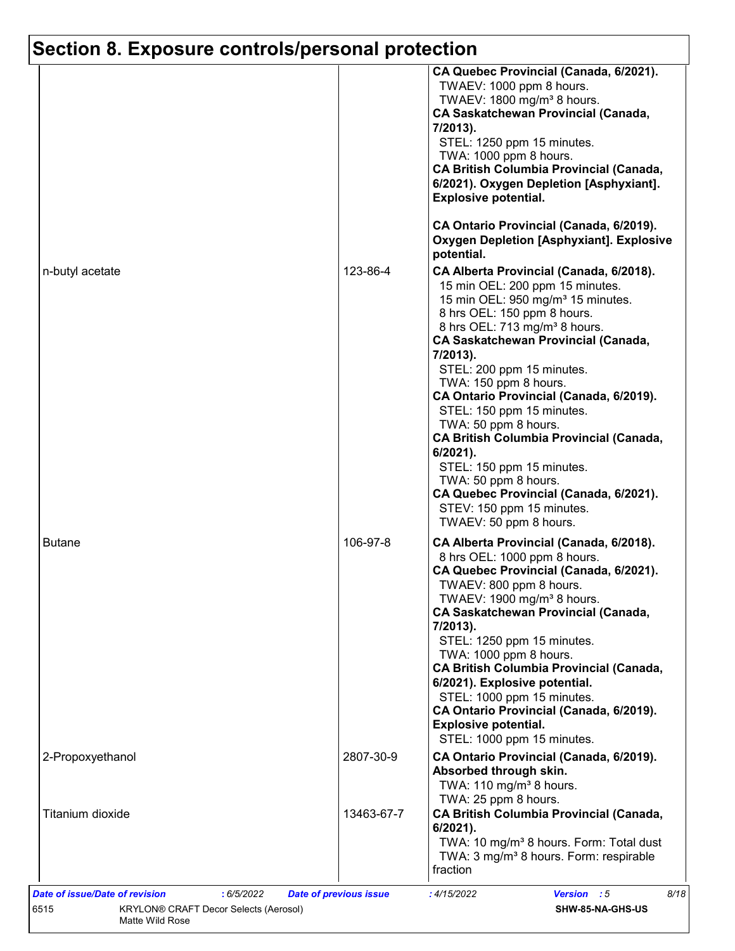|                  |            | CA Quebec Provincial (Canada, 6/2021).<br>TWAEV: 1000 ppm 8 hours.<br>TWAEV: 1800 mg/m <sup>3</sup> 8 hours.<br><b>CA Saskatchewan Provincial (Canada,</b><br>7/2013).<br>STEL: 1250 ppm 15 minutes.<br>TWA: 1000 ppm 8 hours.<br><b>CA British Columbia Provincial (Canada,</b><br>6/2021). Oxygen Depletion [Asphyxiant].<br><b>Explosive potential.</b><br>CA Ontario Provincial (Canada, 6/2019).                                                                                                                                                                                                                                          |
|------------------|------------|------------------------------------------------------------------------------------------------------------------------------------------------------------------------------------------------------------------------------------------------------------------------------------------------------------------------------------------------------------------------------------------------------------------------------------------------------------------------------------------------------------------------------------------------------------------------------------------------------------------------------------------------|
|                  |            | <b>Oxygen Depletion [Asphyxiant]. Explosive</b><br>potential.                                                                                                                                                                                                                                                                                                                                                                                                                                                                                                                                                                                  |
| n-butyl acetate  | 123-86-4   | CA Alberta Provincial (Canada, 6/2018).<br>15 min OEL: 200 ppm 15 minutes.<br>15 min OEL: 950 mg/m <sup>3</sup> 15 minutes.<br>8 hrs OEL: 150 ppm 8 hours.<br>8 hrs OEL: 713 mg/m <sup>3</sup> 8 hours.<br><b>CA Saskatchewan Provincial (Canada,</b><br>7/2013).<br>STEL: 200 ppm 15 minutes.<br>TWA: 150 ppm 8 hours.<br>CA Ontario Provincial (Canada, 6/2019).<br>STEL: 150 ppm 15 minutes.<br>TWA: 50 ppm 8 hours.<br><b>CA British Columbia Provincial (Canada,</b><br>$6/2021$ ).<br>STEL: 150 ppm 15 minutes.<br>TWA: 50 ppm 8 hours.<br>CA Quebec Provincial (Canada, 6/2021).<br>STEV: 150 ppm 15 minutes.<br>TWAEV: 50 ppm 8 hours. |
| <b>Butane</b>    | 106-97-8   | CA Alberta Provincial (Canada, 6/2018).<br>8 hrs OEL: 1000 ppm 8 hours.<br>CA Quebec Provincial (Canada, 6/2021).<br>TWAEV: 800 ppm 8 hours.<br>TWAEV: 1900 mg/m <sup>3</sup> 8 hours.<br><b>CA Saskatchewan Provincial (Canada,</b><br>7/2013).<br>STEL: 1250 ppm 15 minutes.<br>TWA: 1000 ppm 8 hours.<br><b>CA British Columbia Provincial (Canada,</b><br>6/2021). Explosive potential.<br>STEL: 1000 ppm 15 minutes.<br>CA Ontario Provincial (Canada, 6/2019).<br><b>Explosive potential.</b><br>STEL: 1000 ppm 15 minutes.                                                                                                              |
| 2-Propoxyethanol | 2807-30-9  | CA Ontario Provincial (Canada, 6/2019).<br>Absorbed through skin.<br>TWA: 110 mg/m <sup>3</sup> 8 hours.                                                                                                                                                                                                                                                                                                                                                                                                                                                                                                                                       |
| Titanium dioxide | 13463-67-7 | TWA: 25 ppm 8 hours.<br><b>CA British Columbia Provincial (Canada,</b><br>$6/2021$ ).<br>TWA: 10 mg/m <sup>3</sup> 8 hours. Form: Total dust<br>TWA: 3 mg/m <sup>3</sup> 8 hours. Form: respirable<br>fraction                                                                                                                                                                                                                                                                                                                                                                                                                                 |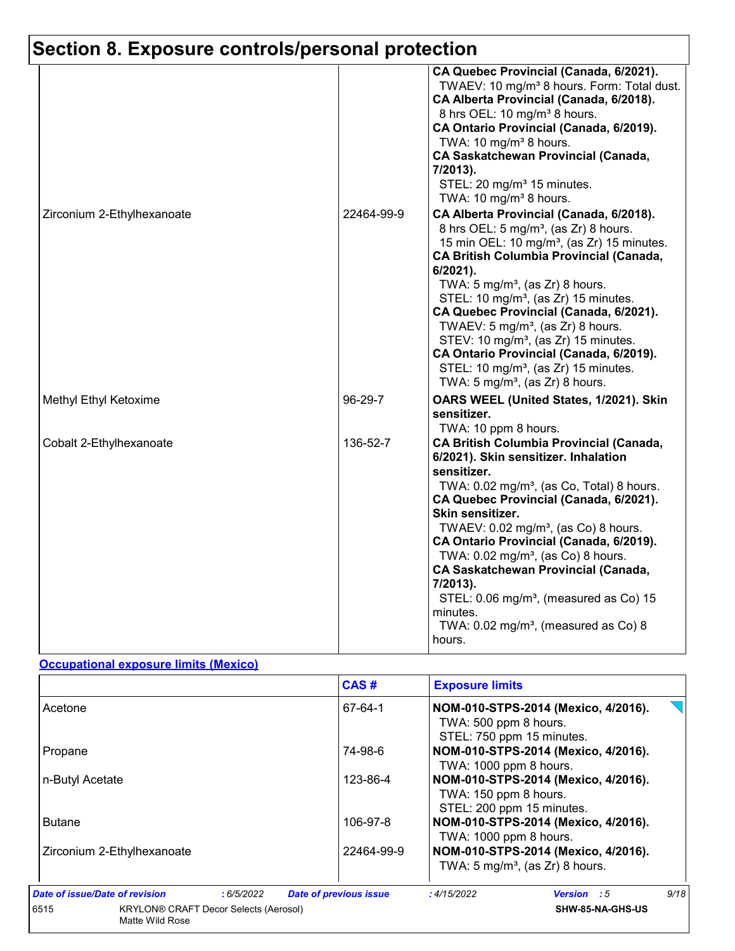| Zirconium 2-Ethylhexanoate | 22464-99-9 | CA Quebec Provincial (Canada, 6/2021).<br>TWAEV: 10 mg/m <sup>3</sup> 8 hours. Form: Total dust.<br>CA Alberta Provincial (Canada, 6/2018).<br>8 hrs OEL: 10 mg/m <sup>3</sup> 8 hours.<br>CA Ontario Provincial (Canada, 6/2019).<br>TWA: 10 mg/m <sup>3</sup> 8 hours.<br><b>CA Saskatchewan Provincial (Canada,</b><br>7/2013).<br>STEL: 20 mg/m <sup>3</sup> 15 minutes.<br>TWA: 10 mg/m <sup>3</sup> 8 hours.<br>CA Alberta Provincial (Canada, 6/2018).                                                                                                             |
|----------------------------|------------|---------------------------------------------------------------------------------------------------------------------------------------------------------------------------------------------------------------------------------------------------------------------------------------------------------------------------------------------------------------------------------------------------------------------------------------------------------------------------------------------------------------------------------------------------------------------------|
|                            |            | 8 hrs OEL: 5 mg/m <sup>3</sup> , (as Zr) 8 hours.<br>15 min OEL: 10 mg/m <sup>3</sup> , (as Zr) 15 minutes.<br><b>CA British Columbia Provincial (Canada,</b><br>6/2021).<br>TWA: $5 \text{ mg/m}^3$ , (as Zr) 8 hours.<br>STEL: 10 mg/m <sup>3</sup> , (as Zr) 15 minutes.<br>CA Quebec Provincial (Canada, 6/2021).<br>TWAEV: $5 \text{ mg/m}^3$ , (as Zr) 8 hours.<br>STEV: 10 mg/m <sup>3</sup> , (as Zr) 15 minutes.<br>CA Ontario Provincial (Canada, 6/2019).<br>STEL: 10 mg/m <sup>3</sup> , (as Zr) 15 minutes.<br>TWA: $5 \text{ mg/m}^3$ , (as Zr) 8 hours.    |
| Methyl Ethyl Ketoxime      | 96-29-7    | OARS WEEL (United States, 1/2021). Skin<br>sensitizer.<br>TWA: 10 ppm 8 hours.                                                                                                                                                                                                                                                                                                                                                                                                                                                                                            |
| Cobalt 2-Ethylhexanoate    | 136-52-7   | <b>CA British Columbia Provincial (Canada,</b><br>6/2021). Skin sensitizer. Inhalation<br>sensitizer.<br>TWA: 0.02 mg/m <sup>3</sup> , (as Co, Total) 8 hours.<br>CA Quebec Provincial (Canada, 6/2021).<br>Skin sensitizer.<br>TWAEV: 0.02 mg/m <sup>3</sup> , (as Co) 8 hours.<br>CA Ontario Provincial (Canada, 6/2019).<br>TWA: 0.02 mg/m <sup>3</sup> , (as Co) 8 hours.<br><b>CA Saskatchewan Provincial (Canada,</b><br>7/2013).<br>STEL: 0.06 mg/m <sup>3</sup> , (measured as Co) 15<br>minutes.<br>TWA: $0.02$ mg/m <sup>3</sup> , (measured as Co) 8<br>hours. |

#### **Occupational exposure limits (Mexico)**

|                                                                         |  |           | CAS#                          | <b>Exposure limits</b>                                                                    |                                                                                   |      |  |
|-------------------------------------------------------------------------|--|-----------|-------------------------------|-------------------------------------------------------------------------------------------|-----------------------------------------------------------------------------------|------|--|
| Acetone                                                                 |  |           | 67-64-1                       | NOM-010-STPS-2014 (Mexico, 4/2016).<br>TWA: 500 ppm 8 hours.<br>STEL: 750 ppm 15 minutes. |                                                                                   |      |  |
| Propane                                                                 |  |           | 74-98-6                       | NOM-010-STPS-2014 (Mexico, 4/2016).<br>TWA: 1000 ppm 8 hours.                             |                                                                                   |      |  |
| n-Butyl Acetate                                                         |  |           | 123-86-4                      | NOM-010-STPS-2014 (Mexico, 4/2016).<br>TWA: 150 ppm 8 hours.<br>STEL: 200 ppm 15 minutes. |                                                                                   |      |  |
| <b>Butane</b>                                                           |  |           | 106-97-8                      | TWA: 1000 ppm 8 hours.                                                                    | NOM-010-STPS-2014 (Mexico, 4/2016).                                               |      |  |
| Zirconium 2-Ethylhexanoate                                              |  |           | 22464-99-9                    |                                                                                           | NOM-010-STPS-2014 (Mexico, 4/2016).<br>TWA: $5 \text{ mg/m}^3$ , (as Zr) 8 hours. |      |  |
| Date of issue/Date of revision                                          |  | :6/5/2022 | <b>Date of previous issue</b> | : 4/15/2022                                                                               | <b>Version</b> : 5                                                                | 9/18 |  |
| 6515<br><b>KRYLON® CRAFT Decor Selects (Aerosol)</b><br>Matte Wild Rose |  |           |                               |                                                                                           | SHW-85-NA-GHS-US                                                                  |      |  |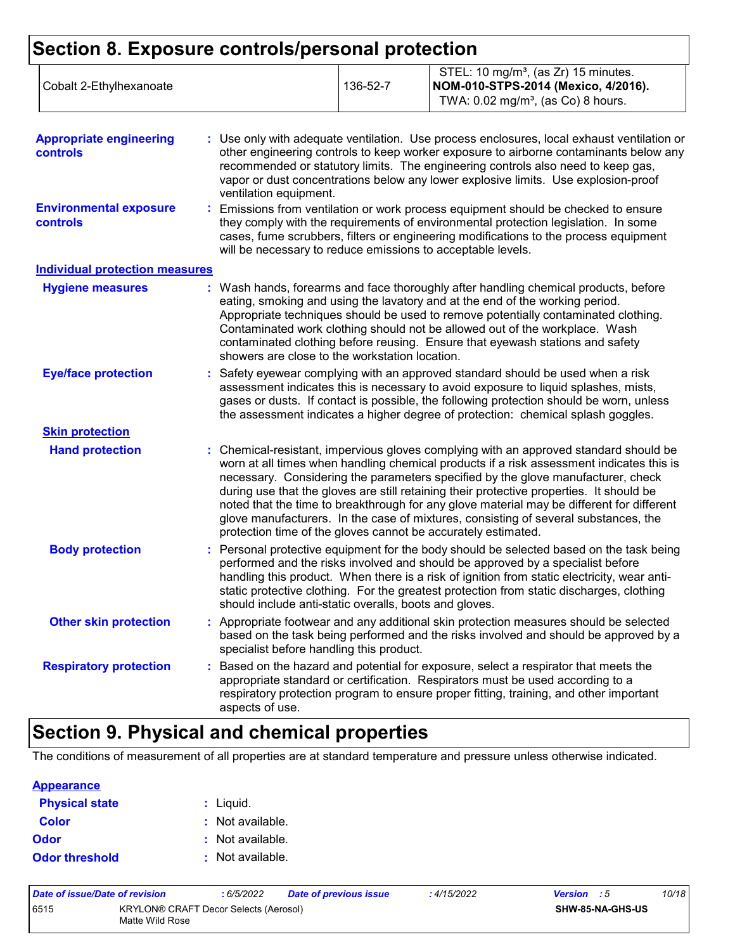| Cobalt 2-Ethylhexanoate | 136-52-7 | STEL: 10 mg/m <sup>3</sup> , (as Zr) 15 minutes.<br> NOM-010-STPS-2014 (Mexico, 4/2016).<br>TWA: $0.02 \text{ mg/m}^3$ , (as Co) 8 hours. |
|-------------------------|----------|-------------------------------------------------------------------------------------------------------------------------------------------|
|-------------------------|----------|-------------------------------------------------------------------------------------------------------------------------------------------|

| <b>Appropriate engineering</b><br><b>controls</b> | : Use only with adequate ventilation. Use process enclosures, local exhaust ventilation or<br>other engineering controls to keep worker exposure to airborne contaminants below any<br>recommended or statutory limits. The engineering controls also need to keep gas,<br>vapor or dust concentrations below any lower explosive limits. Use explosion-proof<br>ventilation equipment.                                                                                                                                                                                                                                |
|---------------------------------------------------|------------------------------------------------------------------------------------------------------------------------------------------------------------------------------------------------------------------------------------------------------------------------------------------------------------------------------------------------------------------------------------------------------------------------------------------------------------------------------------------------------------------------------------------------------------------------------------------------------------------------|
| <b>Environmental exposure</b><br><b>controls</b>  | : Emissions from ventilation or work process equipment should be checked to ensure<br>they comply with the requirements of environmental protection legislation. In some<br>cases, fume scrubbers, filters or engineering modifications to the process equipment<br>will be necessary to reduce emissions to acceptable levels.                                                                                                                                                                                                                                                                                        |
| <b>Individual protection measures</b>             |                                                                                                                                                                                                                                                                                                                                                                                                                                                                                                                                                                                                                        |
| <b>Hygiene measures</b>                           | : Wash hands, forearms and face thoroughly after handling chemical products, before<br>eating, smoking and using the lavatory and at the end of the working period.<br>Appropriate techniques should be used to remove potentially contaminated clothing.<br>Contaminated work clothing should not be allowed out of the workplace. Wash<br>contaminated clothing before reusing. Ensure that eyewash stations and safety<br>showers are close to the workstation location.                                                                                                                                            |
| <b>Eye/face protection</b>                        | Safety eyewear complying with an approved standard should be used when a risk<br>assessment indicates this is necessary to avoid exposure to liquid splashes, mists,<br>gases or dusts. If contact is possible, the following protection should be worn, unless<br>the assessment indicates a higher degree of protection: chemical splash goggles.                                                                                                                                                                                                                                                                    |
| <b>Skin protection</b>                            |                                                                                                                                                                                                                                                                                                                                                                                                                                                                                                                                                                                                                        |
| <b>Hand protection</b>                            | : Chemical-resistant, impervious gloves complying with an approved standard should be<br>worn at all times when handling chemical products if a risk assessment indicates this is<br>necessary. Considering the parameters specified by the glove manufacturer, check<br>during use that the gloves are still retaining their protective properties. It should be<br>noted that the time to breakthrough for any glove material may be different for different<br>glove manufacturers. In the case of mixtures, consisting of several substances, the<br>protection time of the gloves cannot be accurately estimated. |
| <b>Body protection</b>                            | : Personal protective equipment for the body should be selected based on the task being<br>performed and the risks involved and should be approved by a specialist before<br>handling this product. When there is a risk of ignition from static electricity, wear anti-<br>static protective clothing. For the greatest protection from static discharges, clothing<br>should include anti-static overalls, boots and gloves.                                                                                                                                                                                         |
| <b>Other skin protection</b>                      | : Appropriate footwear and any additional skin protection measures should be selected<br>based on the task being performed and the risks involved and should be approved by a<br>specialist before handling this product.                                                                                                                                                                                                                                                                                                                                                                                              |
| <b>Respiratory protection</b>                     | : Based on the hazard and potential for exposure, select a respirator that meets the<br>appropriate standard or certification. Respirators must be used according to a<br>respiratory protection program to ensure proper fitting, training, and other important<br>aspects of use.                                                                                                                                                                                                                                                                                                                                    |

### **Section 9. Physical and chemical properties**

The conditions of measurement of all properties are at standard temperature and pressure unless otherwise indicated.

| <b>Appearance</b>     |                             |
|-----------------------|-----------------------------|
| <b>Physical state</b> | $:$ Liquid.                 |
| <b>Color</b>          | $\therefore$ Not available. |
| Odor                  | : Not available.            |
| <b>Odor threshold</b> | : Not available.            |

| Date of issue/Date of revision |                                                                 | : 6/5/2022 | Date of previous issue | : 4/15/2022 | <b>Version</b> : 5 |  | 10/18 |
|--------------------------------|-----------------------------------------------------------------|------------|------------------------|-------------|--------------------|--|-------|
| 6515                           | <b>KRYLON® CRAFT Decor Selects (Aerosol)</b><br>Matte Wild Rose |            |                        |             | SHW-85-NA-GHS-US   |  |       |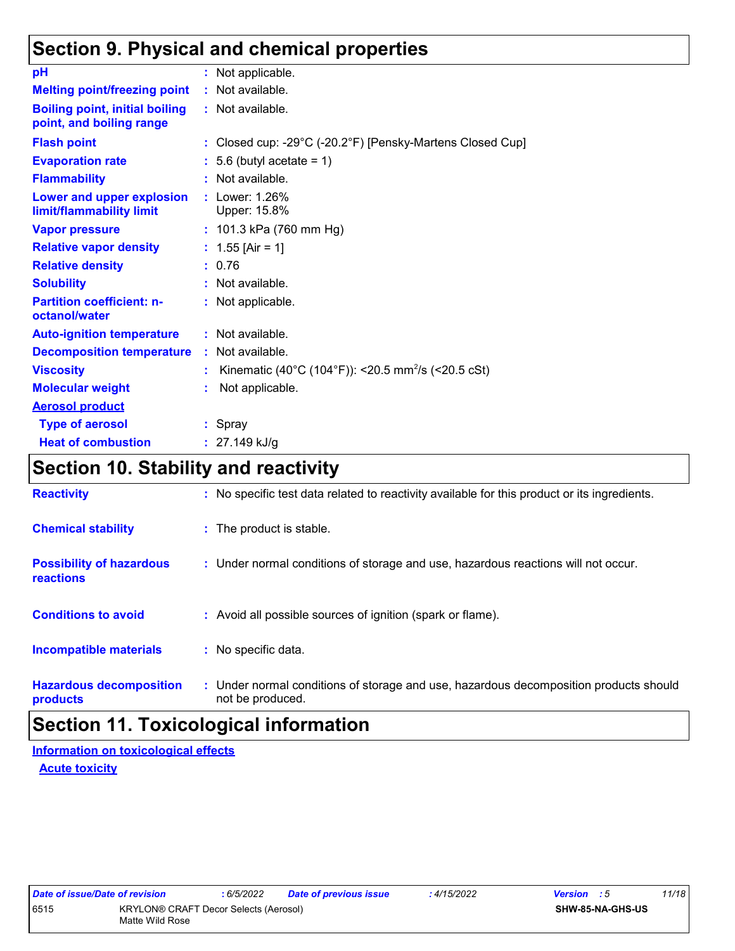### **Section 9. Physical and chemical properties**

| pH                                                                | : Not applicable.                                                |
|-------------------------------------------------------------------|------------------------------------------------------------------|
| <b>Melting point/freezing point</b>                               | : Not available.                                                 |
| <b>Boiling point, initial boiling</b><br>point, and boiling range | : Not available.                                                 |
| <b>Flash point</b>                                                | : Closed cup: -29°C (-20.2°F) [Pensky-Martens Closed Cup]        |
| <b>Evaporation rate</b>                                           | $: 5.6$ (butyl acetate = 1)                                      |
| <b>Flammability</b>                                               | : Not available.                                                 |
| Lower and upper explosion<br>limit/flammability limit             | : Lower: 1.26%<br>Upper: 15.8%                                   |
| <b>Vapor pressure</b>                                             | : $101.3$ kPa (760 mm Hg)                                        |
| <b>Relative vapor density</b>                                     | : $1.55$ [Air = 1]                                               |
| <b>Relative density</b>                                           | : 0.76                                                           |
| <b>Solubility</b>                                                 | : Not available.                                                 |
| <b>Partition coefficient: n-</b><br>octanol/water                 | : Not applicable.                                                |
| <b>Auto-ignition temperature</b>                                  | : Not available.                                                 |
| <b>Decomposition temperature</b>                                  | : Not available.                                                 |
| <b>Viscosity</b>                                                  | : Kinematic (40°C (104°F)): <20.5 mm <sup>2</sup> /s (<20.5 cSt) |
| <b>Molecular weight</b>                                           | Not applicable.                                                  |
| <b>Aerosol product</b>                                            |                                                                  |
| <b>Type of aerosol</b>                                            | $:$ Spray                                                        |
| <b>Heat of combustion</b>                                         | : $27.149$ kJ/g                                                  |

### **Section 10. Stability and reactivity**

| <b>Reactivity</b>                            | : No specific test data related to reactivity available for this product or its ingredients.              |
|----------------------------------------------|-----------------------------------------------------------------------------------------------------------|
| <b>Chemical stability</b>                    | : The product is stable.                                                                                  |
| <b>Possibility of hazardous</b><br>reactions | : Under normal conditions of storage and use, hazardous reactions will not occur.                         |
| <b>Conditions to avoid</b>                   | : Avoid all possible sources of ignition (spark or flame).                                                |
| <b>Incompatible materials</b>                | : No specific data.                                                                                       |
| <b>Hazardous decomposition</b><br>products   | : Under normal conditions of storage and use, hazardous decomposition products should<br>not be produced. |

### **Section 11. Toxicological information**

**Information on toxicological effects**

**Acute toxicity**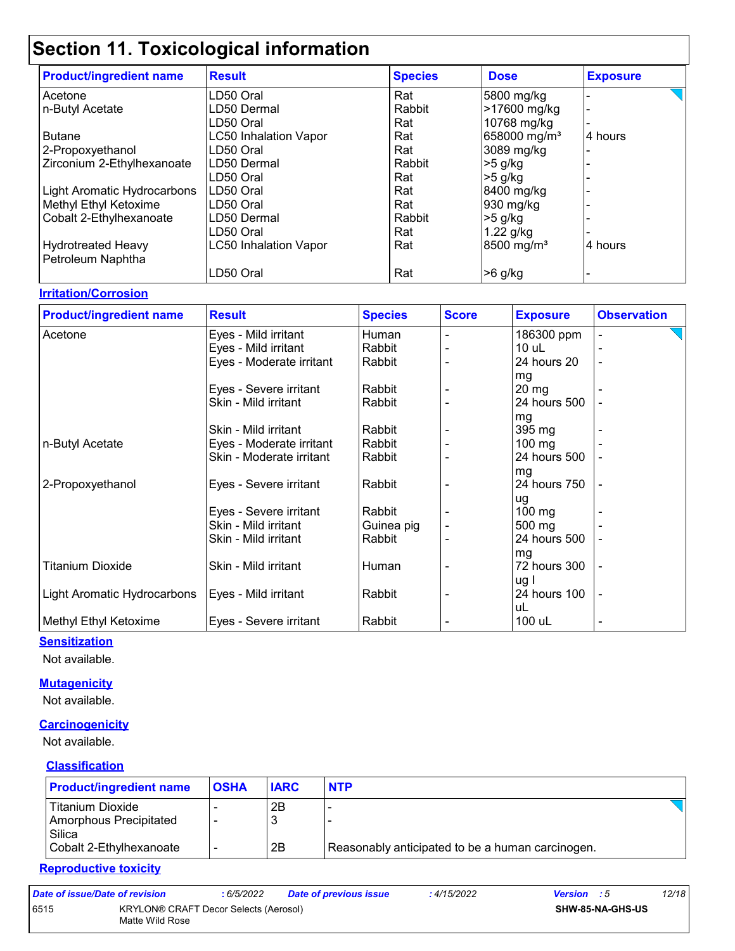## **Section 11. Toxicological information**

| <b>Product/ingredient name</b> | <b>Result</b>                | <b>Species</b> | <b>Dose</b>              | <b>Exposure</b> |
|--------------------------------|------------------------------|----------------|--------------------------|-----------------|
| l Acetone                      | LD50 Oral                    | Rat            | 5800 mg/kg               |                 |
| n-Butyl Acetate                | LD50 Dermal                  | Rabbit         | >17600 mg/kg             |                 |
|                                | LD50 Oral                    | Rat            | 10768 mg/kg              |                 |
| <b>Butane</b>                  | <b>LC50 Inhalation Vapor</b> | Rat            | 658000 mg/m <sup>3</sup> | 4 hours         |
| 2-Propoxyethanol               | LD50 Oral                    | Rat            | 3089 mg/kg               |                 |
| Zirconium 2-Ethylhexanoate     | LD50 Dermal                  | Rabbit         | $>5$ g/kg                |                 |
|                                | LD50 Oral                    | Rat            | $>5$ g/kg                |                 |
| Light Aromatic Hydrocarbons    | LD50 Oral                    | Rat            | 8400 mg/kg               |                 |
| Methyl Ethyl Ketoxime          | LD50 Oral                    | Rat            | 930 mg/kg                |                 |
| Cobalt 2-Ethylhexanoate        | LD50 Dermal                  | Rabbit         | $>5$ g/kg                |                 |
|                                | LD50 Oral                    | Rat            | $1.22$ g/kg              |                 |
| Hydrotreated Heavy             | <b>LC50 Inhalation Vapor</b> | Rat            | 8500 mg/m <sup>3</sup>   | 4 hours         |
| Petroleum Naphtha              |                              |                |                          |                 |
|                                | LD50 Oral                    | Rat            | $>6$ g/kg                |                 |

### **Irritation/Corrosion**

| <b>Product/ingredient name</b> | <b>Result</b>            | <b>Species</b> | <b>Score</b> | <b>Exposure</b>  | <b>Observation</b> |
|--------------------------------|--------------------------|----------------|--------------|------------------|--------------------|
| Acetone                        | Eyes - Mild irritant     | Human          |              | 186300 ppm       |                    |
|                                | Eyes - Mild irritant     | Rabbit         |              | $10$ uL          |                    |
|                                | Eyes - Moderate irritant | Rabbit         |              | 24 hours 20      | $\blacksquare$     |
|                                |                          |                |              | mg               |                    |
|                                | Eyes - Severe irritant   | Rabbit         |              | $20 \, mg$       |                    |
|                                | Skin - Mild irritant     | Rabbit         |              | 24 hours 500     |                    |
|                                |                          |                |              | mg               |                    |
|                                | Skin - Mild irritant     | Rabbit         |              | $395 \text{ mg}$ |                    |
| n-Butyl Acetate                | Eyes - Moderate irritant | Rabbit         |              | $100$ mg         |                    |
|                                | Skin - Moderate irritant | Rabbit         |              | 24 hours 500     |                    |
|                                |                          |                |              | mg               |                    |
| 2-Propoxyethanol               | Eyes - Severe irritant   | Rabbit         |              | 24 hours 750     | $\overline{a}$     |
|                                |                          |                |              | ug               |                    |
|                                | Eyes - Severe irritant   | Rabbit         |              | $100 \text{ mg}$ |                    |
|                                | Skin - Mild irritant     | Guinea pig     |              | 500 mg           |                    |
|                                | Skin - Mild irritant     | Rabbit         |              | 24 hours 500     |                    |
|                                |                          |                |              | mg               |                    |
| <b>Titanium Dioxide</b>        | Skin - Mild irritant     | Human          |              | 72 hours 300     |                    |
|                                |                          |                |              | ug I             |                    |
| Light Aromatic Hydrocarbons    | Eyes - Mild irritant     | Rabbit         |              | 24 hours 100     |                    |
|                                |                          |                |              | uL               |                    |
| Methyl Ethyl Ketoxime          | Eyes - Severe irritant   | Rabbit         |              | 100 uL           |                    |

#### **Sensitization**

Not available.

#### **Mutagenicity**

Not available.

#### **Carcinogenicity**

Not available.

#### **Classification**

| <b>Product/ingredient name</b>                                                  | <b>OSHA</b> | <b>IARC</b> | <b>NTP</b>                                       |  |
|---------------------------------------------------------------------------------|-------------|-------------|--------------------------------------------------|--|
| Titanium Dioxide<br>Amorphous Precipitated<br>Silica<br>Cobalt 2-Ethylhexanoate | -           | 2Β<br>2B    | Reasonably anticipated to be a human carcinogen. |  |

#### **Reproductive toxicity**

| Date of issue/Date of revision |                                                          | : 6/5/2022 | Date of previous issue | : 4/15/2022 | <b>Version</b> : 5      | 12/18 |
|--------------------------------|----------------------------------------------------------|------------|------------------------|-------------|-------------------------|-------|
| 6515                           | KRYLON® CRAFT Decor Selects (Aerosol)<br>Matte Wild Rose |            |                        |             | <b>SHW-85-NA-GHS-US</b> |       |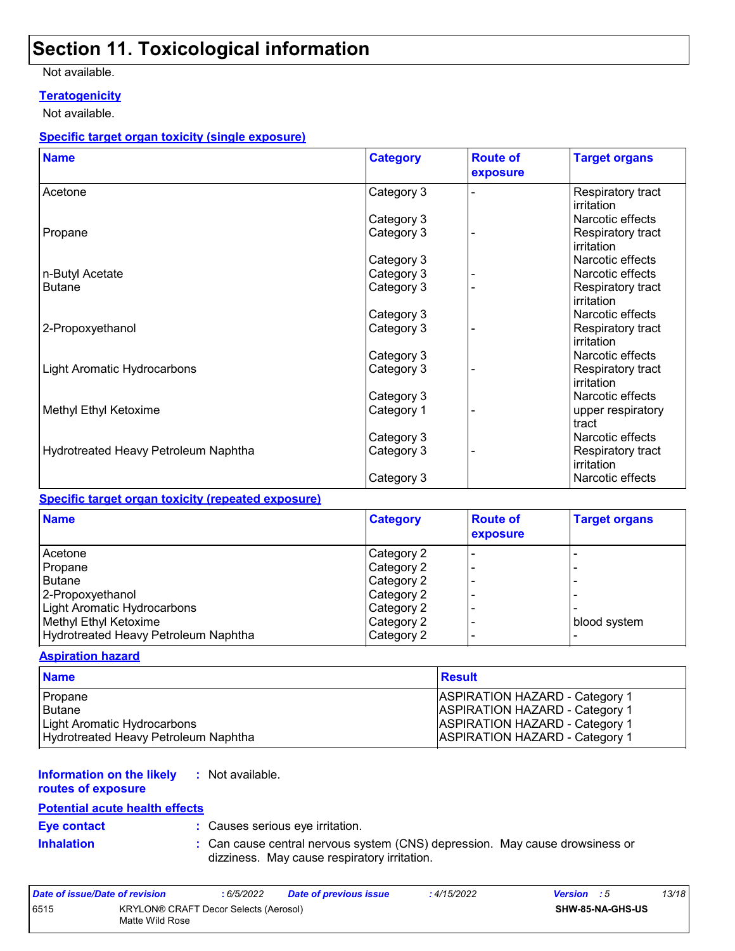### **Section 11. Toxicological information**

#### Not available.

#### **Teratogenicity**

Not available.

#### **Specific target organ toxicity (single exposure)**

| <b>Name</b>                          | <b>Category</b> | <b>Route of</b><br>exposure | <b>Target organs</b>            |
|--------------------------------------|-----------------|-----------------------------|---------------------------------|
| Acetone                              | Category 3      |                             | Respiratory tract<br>irritation |
|                                      | Category 3      |                             | Narcotic effects                |
| Propane                              | Category 3      |                             | Respiratory tract<br>irritation |
|                                      | Category 3      |                             | Narcotic effects                |
| n-Butyl Acetate                      | Category 3      |                             | Narcotic effects                |
| <b>Butane</b>                        | Category 3      |                             | Respiratory tract<br>irritation |
|                                      | Category 3      |                             | Narcotic effects                |
| 2-Propoxyethanol                     | Category 3      |                             | Respiratory tract<br>irritation |
|                                      | Category 3      |                             | Narcotic effects                |
| Light Aromatic Hydrocarbons          | Category 3      |                             | Respiratory tract<br>irritation |
|                                      | Category 3      |                             | Narcotic effects                |
| Methyl Ethyl Ketoxime                | Category 1      |                             | upper respiratory<br>tract      |
|                                      | Category 3      |                             | Narcotic effects                |
| Hydrotreated Heavy Petroleum Naphtha | Category 3      |                             | Respiratory tract<br>irritation |
|                                      | Category 3      |                             | Narcotic effects                |

#### **Specific target organ toxicity (repeated exposure)**

| <b>Name</b>                          | <b>Category</b> | <b>Route of</b><br>exposure | <b>Target organs</b> |
|--------------------------------------|-----------------|-----------------------------|----------------------|
| Acetone                              | Category 2      |                             |                      |
| Propane                              | Category 2      |                             |                      |
| <b>Butane</b>                        | Category 2      |                             |                      |
| 2-Propoxyethanol                     | Category 2      |                             |                      |
| Light Aromatic Hydrocarbons          | Category 2      |                             |                      |
| Methyl Ethyl Ketoxime                | Category 2      |                             | blood system         |
| Hydrotreated Heavy Petroleum Naphtha | Category 2      |                             |                      |

#### **Aspiration hazard**

| <b>Name</b>                          | <b>Result</b>                         |
|--------------------------------------|---------------------------------------|
| Propane                              | <b>ASPIRATION HAZARD - Category 1</b> |
| l Butane                             | <b>ASPIRATION HAZARD - Category 1</b> |
| Light Aromatic Hydrocarbons          | <b>ASPIRATION HAZARD - Category 1</b> |
| Hydrotreated Heavy Petroleum Naphtha | <b>ASPIRATION HAZARD - Category 1</b> |

#### **Information on the likely :** Not available.

**routes of exposure**

#### **Potential acute health effects**

**Eye contact :** Causes serious eye irritation.

- 
- **Inhalation <b>:** Can cause central nervous system (CNS) depression. May cause drowsiness or dizziness. May cause respiratory irritation.

| Date of issue/Date of revision |                                                          | : 6/5/2022 | Date of previous issue | : 4/15/2022 | <b>Version</b> : 5 |                  | 13/18 |
|--------------------------------|----------------------------------------------------------|------------|------------------------|-------------|--------------------|------------------|-------|
| 6515                           | KRYLON® CRAFT Decor Selects (Aerosol)<br>Matte Wild Rose |            |                        |             |                    | SHW-85-NA-GHS-US |       |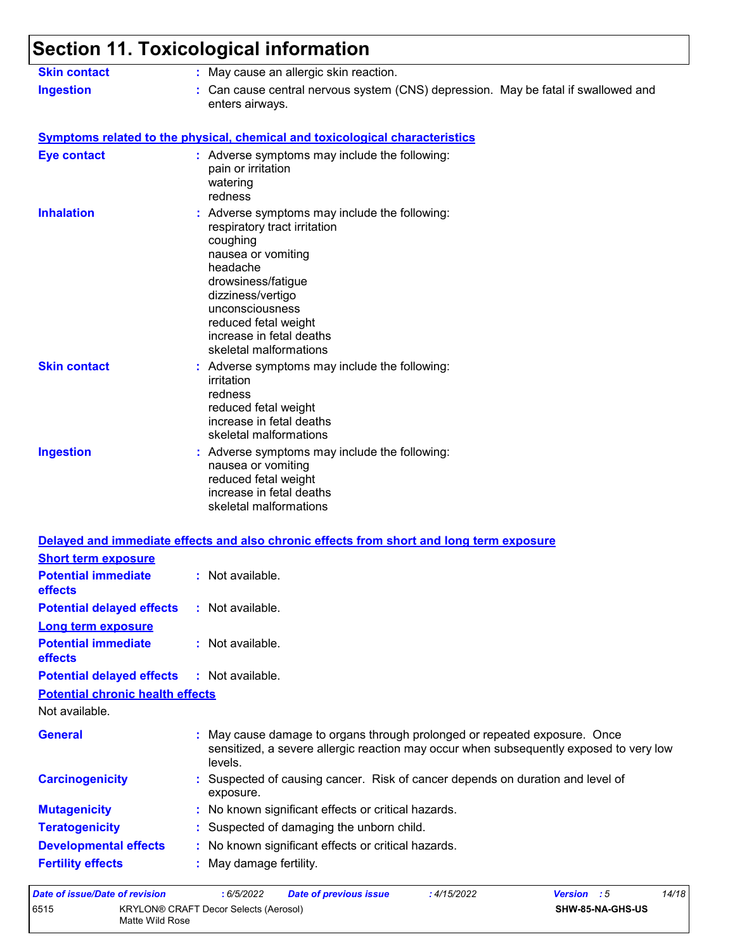#### **Section 11. Toxicological information** Can cause central nervous system (CNS) depression. May be fatal if swallowed and enters airways. **Ingestion : Skin contact :** May cause an allergic skin reaction.

|                                                             | : Adverse symptoms may include the following:<br>pain or irritation<br>watering<br>redness                                                                                                                                                                              |
|-------------------------------------------------------------|-------------------------------------------------------------------------------------------------------------------------------------------------------------------------------------------------------------------------------------------------------------------------|
| <b>Inhalation</b>                                           | : Adverse symptoms may include the following:<br>respiratory tract irritation<br>coughing<br>nausea or vomiting<br>headache<br>drowsiness/fatigue<br>dizziness/vertigo<br>unconsciousness<br>reduced fetal weight<br>increase in fetal deaths<br>skeletal malformations |
| <b>Skin contact</b>                                         | : Adverse symptoms may include the following:<br>irritation<br>redness<br>reduced fetal weight<br>increase in fetal deaths<br>skeletal malformations                                                                                                                    |
| <b>Ingestion</b>                                            | : Adverse symptoms may include the following:<br>nausea or vomiting<br>reduced fetal weight<br>increase in fetal deaths<br>skeletal malformations                                                                                                                       |
|                                                             |                                                                                                                                                                                                                                                                         |
|                                                             | Delayed and immediate effects and also chronic effects from short and long term exposure                                                                                                                                                                                |
| <b>Short term exposure</b><br><b>Potential immediate</b>    | : Not available.                                                                                                                                                                                                                                                        |
| effects                                                     |                                                                                                                                                                                                                                                                         |
| <b>Potential delayed effects</b>                            | : Not available.                                                                                                                                                                                                                                                        |
| Long term exposure<br><b>Potential immediate</b><br>effects | : Not available.                                                                                                                                                                                                                                                        |
| <b>Potential delayed effects</b>                            | : Not available.                                                                                                                                                                                                                                                        |
| <b>Potential chronic health effects</b>                     |                                                                                                                                                                                                                                                                         |
| Not available.                                              |                                                                                                                                                                                                                                                                         |
| <b>General</b>                                              | May cause damage to organs through prolonged or repeated exposure. Once<br>sensitized, a severe allergic reaction may occur when subsequently exposed to very low<br>levels.                                                                                            |
| <b>Carcinogenicity</b>                                      | : Suspected of causing cancer. Risk of cancer depends on duration and level of<br>exposure.                                                                                                                                                                             |
| <b>Mutagenicity</b>                                         | : No known significant effects or critical hazards.                                                                                                                                                                                                                     |
| <b>Teratogenicity</b>                                       | : Suspected of damaging the unborn child.                                                                                                                                                                                                                               |
| <b>Developmental effects</b>                                | : No known significant effects or critical hazards.                                                                                                                                                                                                                     |

| Date of issue/Date of revision |                                                          | : 6/5/2022 | Date of previous issue | 4/15/2022 | <b>Version</b> : 5      | 14/18 |
|--------------------------------|----------------------------------------------------------|------------|------------------------|-----------|-------------------------|-------|
| 6515                           | KRYLON® CRAFT Decor Selects (Aerosol)<br>Matte Wild Rose |            |                        |           | <b>SHW-85-NA-GHS-US</b> |       |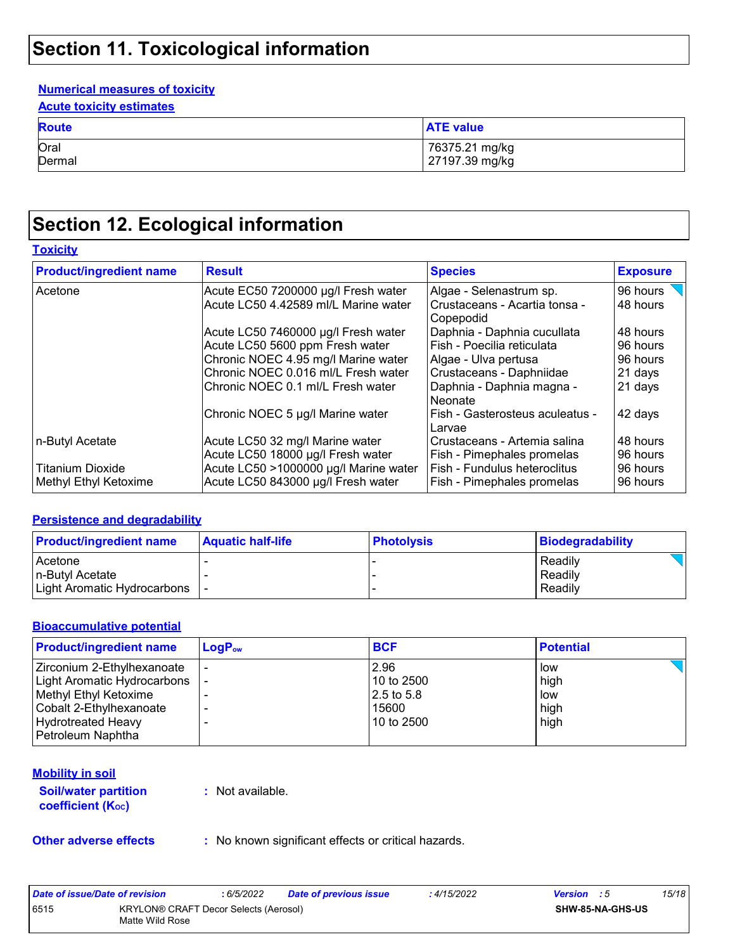### **Section 11. Toxicological information**

#### **Numerical measures of toxicity**

| <b>Acute toxicity estimates</b> |
|---------------------------------|
|---------------------------------|

| <b>Route</b> | <b>ATE value</b> |
|--------------|------------------|
| Oral         | 76375.21 mg/kg   |
| Dermal       | 27197.39 mg/kg   |

## **Section 12. Ecological information**

#### **Toxicity**

| <b>Product/ingredient name</b> | <b>Result</b>                         | <b>Species</b>                                         | <b>Exposure</b> |
|--------------------------------|---------------------------------------|--------------------------------------------------------|-----------------|
| Acetone                        | Acute EC50 7200000 µg/l Fresh water   | Algae - Selenastrum sp.                                | 96 hours        |
|                                | Acute LC50 4.42589 ml/L Marine water  | Crustaceans - Acartia tonsa -<br>48 hours<br>Copepodid |                 |
|                                | Acute LC50 7460000 µg/l Fresh water   | Daphnia - Daphnia cucullata                            | 48 hours        |
|                                | Acute LC50 5600 ppm Fresh water       | Fish - Poecilia reticulata                             | 96 hours        |
|                                | Chronic NOEC 4.95 mg/l Marine water   | Algae - Ulva pertusa                                   | 96 hours        |
|                                | Chronic NOEC 0.016 ml/L Fresh water   | Crustaceans - Daphniidae                               | 21 days         |
|                                | Chronic NOEC 0.1 ml/L Fresh water     | Daphnia - Daphnia magna -<br>Neonate                   | 21 days         |
|                                | Chronic NOEC 5 µg/l Marine water      | Fish - Gasterosteus aculeatus -<br>Larvae              | 42 days         |
| n-Butyl Acetate                | Acute LC50 32 mg/l Marine water       | Crustaceans - Artemia salina                           | 48 hours        |
|                                | Acute LC50 18000 µg/l Fresh water     | Fish - Pimephales promelas                             | 96 hours        |
| <b>Titanium Dioxide</b>        | Acute LC50 >1000000 µg/l Marine water | Fish - Fundulus heteroclitus                           | 96 hours        |
| Methyl Ethyl Ketoxime          | Acute LC50 843000 µg/l Fresh water    | Fish - Pimephales promelas                             | 96 hours        |

#### **Persistence and degradability**

| <b>Product/ingredient name</b> | <b>Aquatic half-life</b> | <b>Photolysis</b> | Biodegradability |
|--------------------------------|--------------------------|-------------------|------------------|
| <b>Acetone</b>                 |                          |                   | Readily          |
| In-Butvl Acetate               |                          |                   | Readily          |
| Light Aromatic Hydrocarbons    |                          |                   | Readily          |

#### **Bioaccumulative potential**

| <b>Product/ingredient name</b> | $LogP_{ow}$ | <b>BCF</b> | <b>Potential</b> |
|--------------------------------|-------------|------------|------------------|
| Zirconium 2-Ethylhexanoate     |             | 2.96       | low              |
| Light Aromatic Hydrocarbons    |             | 10 to 2500 | high             |
| Methyl Ethyl Ketoxime          |             | 2.5 to 5.8 | low              |
| Cobalt 2-Ethylhexanoate        |             | 15600      | high             |
| <b>Hydrotreated Heavy</b>      |             | 10 to 2500 | high             |
| Petroleum Naphtha              |             |            |                  |

#### **Mobility in soil**

**Soil/water partition coefficient (KOC)**

**:** Not available.

**Other adverse effects** : No known significant effects or critical hazards.

| Date of issue/Date of revision |                                                          | 6/5/2022 | <b>Date of previous issue</b> | : 4/15/2022 | <b>Version</b> : 5 |                         | 15/18 |
|--------------------------------|----------------------------------------------------------|----------|-------------------------------|-------------|--------------------|-------------------------|-------|
| 6515                           | KRYLON® CRAFT Decor Selects (Aerosol)<br>Matte Wild Rose |          |                               |             |                    | <b>SHW-85-NA-GHS-US</b> |       |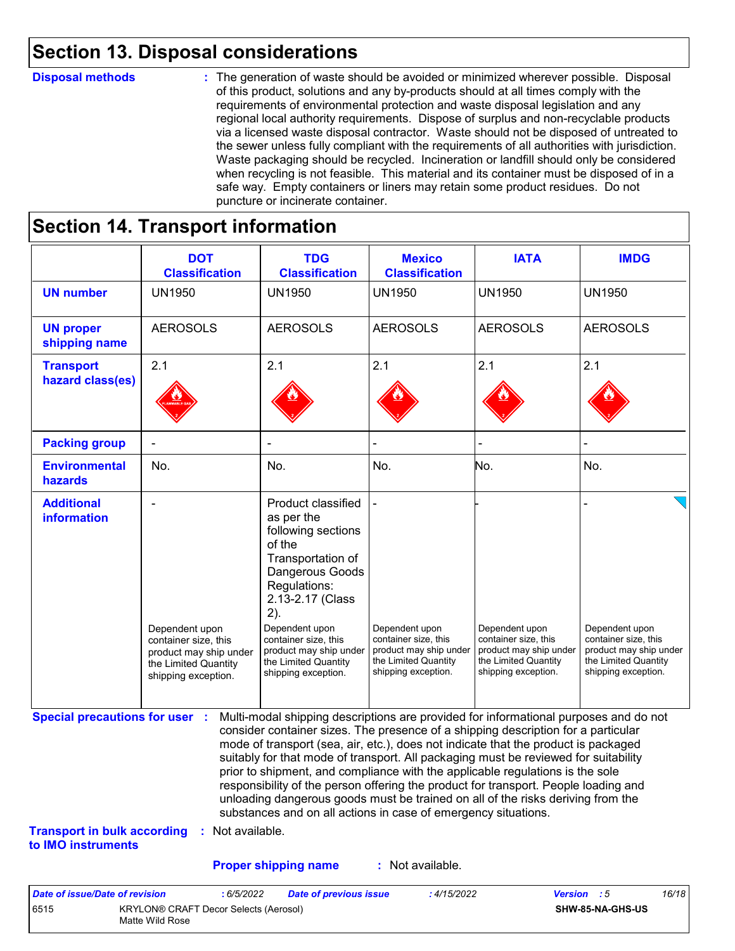### **Section 13. Disposal considerations**

#### **Disposal methods :**

The generation of waste should be avoided or minimized wherever possible. Disposal of this product, solutions and any by-products should at all times comply with the requirements of environmental protection and waste disposal legislation and any regional local authority requirements. Dispose of surplus and non-recyclable products via a licensed waste disposal contractor. Waste should not be disposed of untreated to the sewer unless fully compliant with the requirements of all authorities with jurisdiction. Waste packaging should be recycled. Incineration or landfill should only be considered when recycling is not feasible. This material and its container must be disposed of in a safe way. Empty containers or liners may retain some product residues. Do not puncture or incinerate container.

### **Section 14. Transport information**

6515 KRYLON® CRAFT Decor Selects (Aerosol) Matte Wild Rose

|                                                                             | <b>DOT</b><br><b>Classification</b>                                                                             | <b>TDG</b><br><b>Classification</b>                                                                                                                                                                                                                                                                                                                                                                                                                                                                                                                                                                                                                                                 | <b>Mexico</b><br><b>Classification</b>                                                                          | <b>IATA</b>                                                                                                     | <b>IMDG</b>                                                                                                     |
|-----------------------------------------------------------------------------|-----------------------------------------------------------------------------------------------------------------|-------------------------------------------------------------------------------------------------------------------------------------------------------------------------------------------------------------------------------------------------------------------------------------------------------------------------------------------------------------------------------------------------------------------------------------------------------------------------------------------------------------------------------------------------------------------------------------------------------------------------------------------------------------------------------------|-----------------------------------------------------------------------------------------------------------------|-----------------------------------------------------------------------------------------------------------------|-----------------------------------------------------------------------------------------------------------------|
| <b>UN number</b>                                                            | <b>UN1950</b>                                                                                                   | <b>UN1950</b>                                                                                                                                                                                                                                                                                                                                                                                                                                                                                                                                                                                                                                                                       | <b>UN1950</b>                                                                                                   | <b>UN1950</b>                                                                                                   | <b>UN1950</b>                                                                                                   |
| <b>UN proper</b><br>shipping name                                           | <b>AEROSOLS</b>                                                                                                 | <b>AEROSOLS</b>                                                                                                                                                                                                                                                                                                                                                                                                                                                                                                                                                                                                                                                                     | <b>AEROSOLS</b>                                                                                                 | <b>AEROSOLS</b>                                                                                                 | <b>AEROSOLS</b>                                                                                                 |
| <b>Transport</b><br>hazard class(es)                                        | 2.1                                                                                                             | 2.1                                                                                                                                                                                                                                                                                                                                                                                                                                                                                                                                                                                                                                                                                 | 2.1                                                                                                             | 2.1                                                                                                             | 2.1                                                                                                             |
| <b>Packing group</b>                                                        |                                                                                                                 |                                                                                                                                                                                                                                                                                                                                                                                                                                                                                                                                                                                                                                                                                     |                                                                                                                 |                                                                                                                 |                                                                                                                 |
| <b>Environmental</b><br>hazards                                             | No.                                                                                                             | No.                                                                                                                                                                                                                                                                                                                                                                                                                                                                                                                                                                                                                                                                                 | No.                                                                                                             | No.                                                                                                             | No.                                                                                                             |
| <b>Additional</b><br>information                                            | Dependent upon<br>container size, this<br>product may ship under<br>the Limited Quantity<br>shipping exception. | <b>Product classified</b><br>as per the<br>following sections<br>of the<br>Transportation of<br>Dangerous Goods<br>Regulations:<br>2.13-2.17 (Class<br>2).<br>Dependent upon<br>container size, this<br>product may ship under<br>the Limited Quantity<br>shipping exception.                                                                                                                                                                                                                                                                                                                                                                                                       | Dependent upon<br>container size, this<br>product may ship under<br>the Limited Quantity<br>shipping exception. | Dependent upon<br>container size, this<br>product may ship under<br>the Limited Quantity<br>shipping exception. | Dependent upon<br>container size, this<br>product may ship under<br>the Limited Quantity<br>shipping exception. |
| <b>Special precautions for user :</b><br><b>Transport in bulk according</b> | : Not available.                                                                                                | Multi-modal shipping descriptions are provided for informational purposes and do not<br>consider container sizes. The presence of a shipping description for a particular<br>mode of transport (sea, air, etc.), does not indicate that the product is packaged<br>suitably for that mode of transport. All packaging must be reviewed for suitability<br>prior to shipment, and compliance with the applicable regulations is the sole<br>responsibility of the person offering the product for transport. People loading and<br>unloading dangerous goods must be trained on all of the risks deriving from the<br>substances and on all actions in case of emergency situations. |                                                                                                                 |                                                                                                                 |                                                                                                                 |
| to IMO instruments                                                          |                                                                                                                 |                                                                                                                                                                                                                                                                                                                                                                                                                                                                                                                                                                                                                                                                                     |                                                                                                                 |                                                                                                                 |                                                                                                                 |
|                                                                             |                                                                                                                 | <b>Proper shipping name</b>                                                                                                                                                                                                                                                                                                                                                                                                                                                                                                                                                                                                                                                         | : Not available.                                                                                                |                                                                                                                 |                                                                                                                 |

**SHW-85-NA-GHS-US**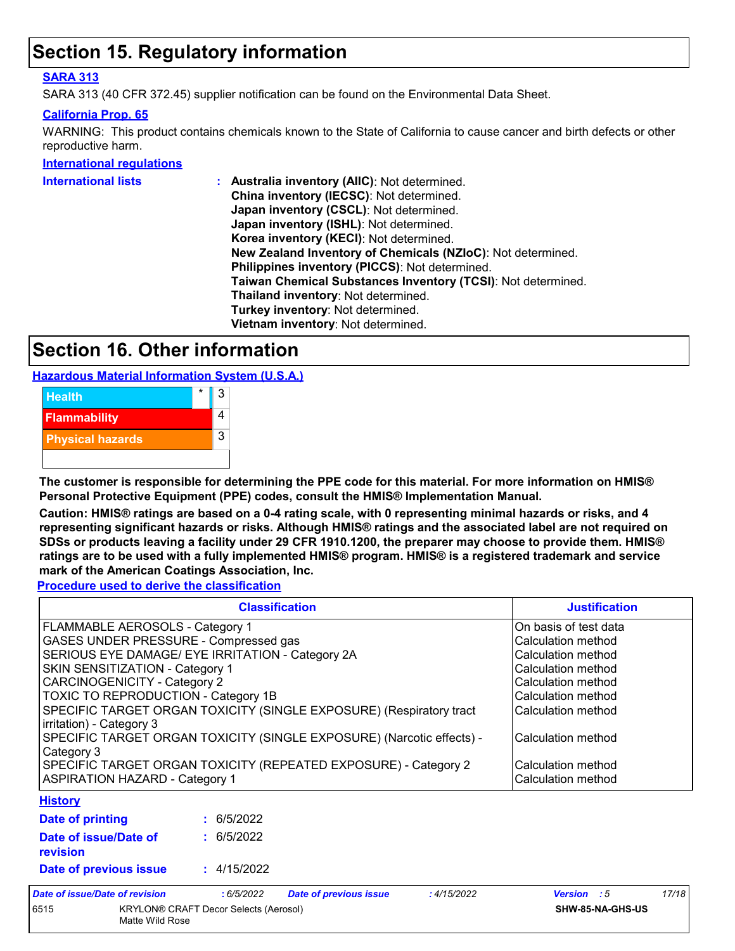### **Section 15. Regulatory information**

#### **SARA 313**

SARA 313 (40 CFR 372.45) supplier notification can be found on the Environmental Data Sheet.

#### **California Prop. 65**

WARNING: This product contains chemicals known to the State of California to cause cancer and birth defects or other reproductive harm.

#### **International regulations**

| International lists | : Australia inventory (AIIC): Not determined.                |
|---------------------|--------------------------------------------------------------|
|                     | China inventory (IECSC): Not determined.                     |
|                     | Japan inventory (CSCL): Not determined.                      |
|                     | Japan inventory (ISHL): Not determined.                      |
|                     | Korea inventory (KECI): Not determined.                      |
|                     | New Zealand Inventory of Chemicals (NZIoC): Not determined.  |
|                     | Philippines inventory (PICCS): Not determined.               |
|                     | Taiwan Chemical Substances Inventory (TCSI): Not determined. |
|                     | Thailand inventory: Not determined.                          |
|                     | Turkey inventory: Not determined.                            |
|                     | Vietnam inventory: Not determined.                           |
|                     |                                                              |

### **Section 16. Other information**

**Hazardous Material Information System (U.S.A.)**



**The customer is responsible for determining the PPE code for this material. For more information on HMIS® Personal Protective Equipment (PPE) codes, consult the HMIS® Implementation Manual.**

**Caution: HMIS® ratings are based on a 0-4 rating scale, with 0 representing minimal hazards or risks, and 4 representing significant hazards or risks. Although HMIS® ratings and the associated label are not required on SDSs or products leaving a facility under 29 CFR 1910.1200, the preparer may choose to provide them. HMIS® ratings are to be used with a fully implemented HMIS® program. HMIS® is a registered trademark and service mark of the American Coatings Association, Inc.**

**Procedure used to derive the classification**

|                                                                                                                                                                                                                                                                                                                                                                                                                                                                                                                                                                                                                                                                                         |                          | <b>Classification</b>         | <b>Justification</b><br>On basis of test data<br>Calculation method<br>Calculation method<br>Calculation method |                    |       |  |
|-----------------------------------------------------------------------------------------------------------------------------------------------------------------------------------------------------------------------------------------------------------------------------------------------------------------------------------------------------------------------------------------------------------------------------------------------------------------------------------------------------------------------------------------------------------------------------------------------------------------------------------------------------------------------------------------|--------------------------|-------------------------------|-----------------------------------------------------------------------------------------------------------------|--------------------|-------|--|
| FLAMMABLE AEROSOLS - Category 1<br>GASES UNDER PRESSURE - Compressed gas<br>SERIOUS EYE DAMAGE/ EYE IRRITATION - Category 2A<br>SKIN SENSITIZATION - Category 1<br><b>CARCINOGENICITY - Category 2</b><br>Calculation method<br>TOXIC TO REPRODUCTION - Category 1B<br>Calculation method<br>SPECIFIC TARGET ORGAN TOXICITY (SINGLE EXPOSURE) (Respiratory tract<br>Calculation method<br>irritation) - Category 3<br>SPECIFIC TARGET ORGAN TOXICITY (SINGLE EXPOSURE) (Narcotic effects) -<br>Calculation method<br>Category 3<br>SPECIFIC TARGET ORGAN TOXICITY (REPEATED EXPOSURE) - Category 2<br>Calculation method<br><b>ASPIRATION HAZARD - Category 1</b><br>Calculation method |                          |                               |                                                                                                                 |                    |       |  |
| <b>History</b><br>Date of printing<br>Date of issue/Date of<br>revision                                                                                                                                                                                                                                                                                                                                                                                                                                                                                                                                                                                                                 | : 6/5/2022<br>: 6/5/2022 |                               |                                                                                                                 |                    |       |  |
| Date of previous issue                                                                                                                                                                                                                                                                                                                                                                                                                                                                                                                                                                                                                                                                  | : 4/15/2022              |                               |                                                                                                                 |                    | 17/18 |  |
| <b>Date of issue/Date of revision</b>                                                                                                                                                                                                                                                                                                                                                                                                                                                                                                                                                                                                                                                   | : 6/5/2022               | <b>Date of previous issue</b> | :4/15/2022                                                                                                      | <b>Version</b> : 5 |       |  |